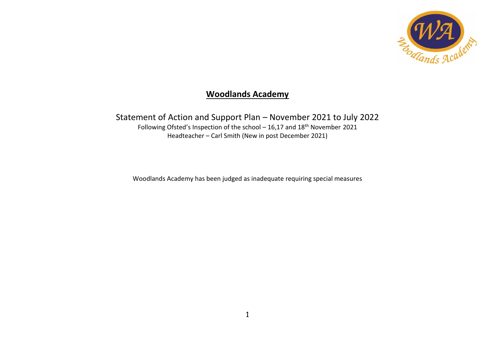

### **Woodlands Academy**

Statement of Action and Support Plan – November 2021 to July 2022 Following Ofsted's Inspection of the school - 16,17 and 18<sup>th</sup> November 2021 Headteacher – Carl Smith (New in post December 2021)

Woodlands Academy has been judged as inadequate requiring special measures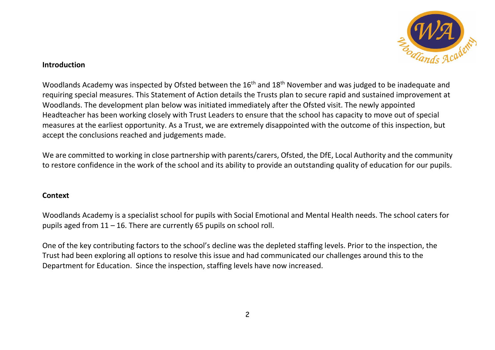

#### **Introduction**

Woodlands Academy was inspected by Ofsted between the 16<sup>th</sup> and 18<sup>th</sup> November and was judged to be inadequate and requiring special measures. This Statement of Action details the Trusts plan to secure rapid and sustained improvement at Woodlands. The development plan below was initiated immediately after the Ofsted visit. The newly appointed Headteacher has been working closely with Trust Leaders to ensure that the school has capacity to move out of special measures at the earliest opportunity. As a Trust, we are extremely disappointed with the outcome of this inspection, but accept the conclusions reached and judgements made.

We are committed to working in close partnership with parents/carers, Ofsted, the DfE, Local Authority and the community to restore confidence in the work of the school and its ability to provide an outstanding quality of education for our pupils.

#### **Context**

Woodlands Academy is a specialist school for pupils with Social Emotional and Mental Health needs. The school caters for pupils aged from 11 – 16. There are currently 65 pupils on school roll.

One of the key contributing factors to the school's decline was the depleted staffing levels. Prior to the inspection, the Trust had been exploring all options to resolve this issue and had communicated our challenges around this to the Department for Education. Since the inspection, staffing levels have now increased.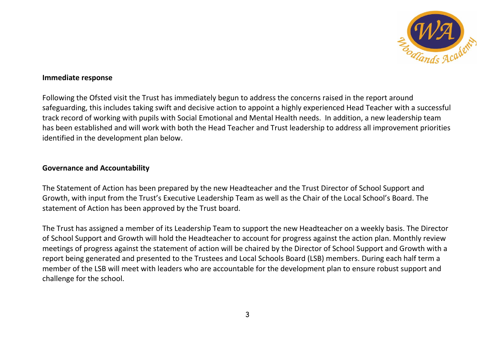

#### **Immediate response**

Following the Ofsted visit the Trust has immediately begun to address the concerns raised in the report around safeguarding, this includes taking swift and decisive action to appoint a highly experienced Head Teacher with a successful track record of working with pupils with Social Emotional and Mental Health needs. In addition, a new leadership team has been established and will work with both the Head Teacher and Trust leadership to address all improvement priorities identified in the development plan below.

### **Governance and Accountability**

The Statement of Action has been prepared by the new Headteacher and the Trust Director of School Support and Growth, with input from the Trust's Executive Leadership Team as well as the Chair of the Local School's Board. The statement of Action has been approved by the Trust board.

The Trust has assigned a member of its Leadership Team to support the new Headteacher on a weekly basis. The Director of School Support and Growth will hold the Headteacher to account for progress against the action plan. Monthly review meetings of progress against the statement of action will be chaired by the Director of School Support and Growth with a report being generated and presented to the Trustees and Local Schools Board (LSB) members. During each half term a member of the LSB will meet with leaders who are accountable for the development plan to ensure robust support and challenge for the school.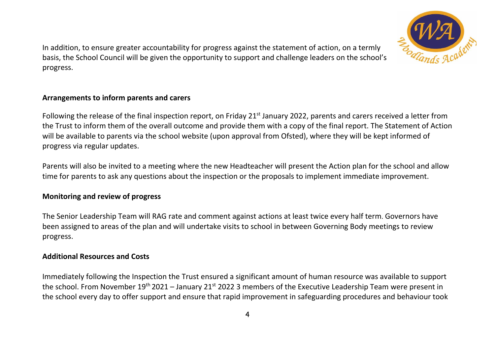In addition, to ensure greater accountability for progress against the statement of action, on a termly basis, the School Council will be given the opportunity to support and challenge leaders on the school's progress.



Following the release of the final inspection report, on Friday 21<sup>st</sup> January 2022, parents and carers received a letter from the Trust to inform them of the overall outcome and provide them with a copy of the final report. The Statement of Action will be available to parents via the school website (upon approval from Ofsted), where they will be kept informed of progress via regular updates.

Parents will also be invited to a meeting where the new Headteacher will present the Action plan for the school and allow time for parents to ask any questions about the inspection or the proposals to implement immediate improvement.

#### **Monitoring and review of progress**

The Senior Leadership Team will RAG rate and comment against actions at least twice every half term. Governors have been assigned to areas of the plan and will undertake visits to school in between Governing Body meetings to review progress.

#### **Additional Resources and Costs**

Immediately following the Inspection the Trust ensured a significant amount of human resource was available to support the school. From November  $19<sup>th</sup> 2021 - January 21<sup>st</sup> 2022 3 members of the Executive leadership Team were present in$ the school every day to offer support and ensure that rapid improvement in safeguarding procedures and behaviour took

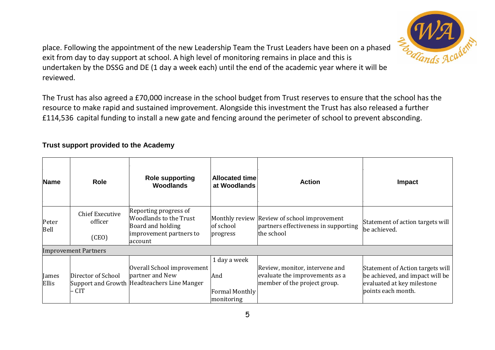place. Following the appointment of the new Leadership Team the Trust Leaders have been on a phased exit from day to day support at school. A high level of monitoring remains in place and this is undertaken by the DSSG and DE (1 day a week each) until the end of the academic year where it will be reviewed.

The Trust has also agreed a £70,000 increase in the school budget from Trust reserves to ensure that the school has the resource to make rapid and sustained improvement. Alongside this investment the Trust has also released a further £114,536 capital funding to install a new gate and fencing around the perimeter of school to prevent absconding.

### **Trust support provided to the Academy**

| <b>Name</b>    | <b>Role</b>                          | <b>Role supporting</b><br><b>Woodlands</b>                                                      | Allocated time<br>at Woodlands                      | <b>Action</b>                                                                                     | Impact                                                                                                                  |
|----------------|--------------------------------------|-------------------------------------------------------------------------------------------------|-----------------------------------------------------|---------------------------------------------------------------------------------------------------|-------------------------------------------------------------------------------------------------------------------------|
| Peter<br>Bell  | <b>Chief Executive</b><br>officer    | Reporting progress of<br>Woodlands to the Trust<br>Board and holding<br>improvement partners to | lof school<br>progress                              | Monthly review Review of school improvement<br>partners effectiveness in supporting<br>the school | Statement of action targets will<br>be achieved.                                                                        |
|                | (CEO)<br><b>Improvement Partners</b> | account                                                                                         |                                                     |                                                                                                   |                                                                                                                         |
| James<br>Ellis | Director of School<br>– CIT          | Overall School improvement<br>partner and New<br>Support and Growth Headteachers Line Manger    | 1 day a week<br>And<br>Formal Monthly<br>monitoring | Review, monitor, intervene and<br>evaluate the improvements as a<br>member of the project group.  | Statement of Action targets will<br>be achieved, and impact will be<br>evaluated at key milestone<br>points each month. |

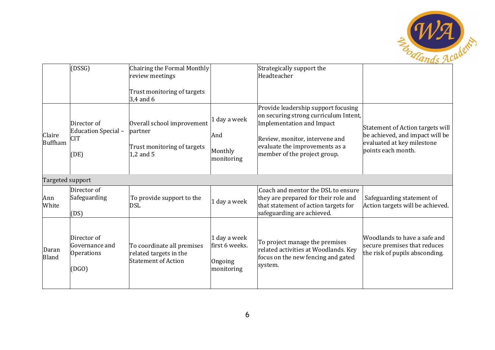

|                          | (DSSG)                                                   | Chairing the Formal Monthly<br>review meetings                                      |                                                         | Strategically support the<br>Headteacher                                                                                                                                                                      |                                                                                                                         |
|--------------------------|----------------------------------------------------------|-------------------------------------------------------------------------------------|---------------------------------------------------------|---------------------------------------------------------------------------------------------------------------------------------------------------------------------------------------------------------------|-------------------------------------------------------------------------------------------------------------------------|
|                          |                                                          | Trust monitoring of targets<br>$3,4$ and 6                                          |                                                         |                                                                                                                                                                                                               |                                                                                                                         |
| Claire<br><b>Buffham</b> | Director of<br>Education Special -<br><b>CIT</b><br>(DE) | Overall school improvement<br>partner<br>Trust monitoring of targets<br>$1,2$ and 5 | 1 day a week<br>And<br>Monthly<br>monitoring            | Provide leadership support focusing<br>on securing strong curriculum Intent,<br>Implementation and Impact<br>Review, monitor, intervene and<br>evaluate the improvements as a<br>member of the project group. | Statement of Action targets will<br>be achieved, and impact will be<br>evaluated at key milestone<br>points each month. |
| Targeted support         |                                                          |                                                                                     |                                                         |                                                                                                                                                                                                               |                                                                                                                         |
| Ann<br>White             | Director of<br>Safeguarding<br>(DS)                      | To provide support to the<br><b>DSL</b>                                             | 1 day a week                                            | Coach and mentor the DSL to ensure<br>they are prepared for their role and<br>that statement of action targets for<br>safeguarding are achieved.                                                              | Safeguarding statement of<br>Action targets will be achieved.                                                           |
| Daran<br><b>Bland</b>    | Director of<br>Governance and<br>Operations<br>(DGO)     | To coordinate all premises<br>related targets in the<br>Statement of Action         | 1 day a week<br>first 6 weeks.<br>Ongoing<br>monitoring | To project manage the premises<br>related activities at Woodlands. Key<br>focus on the new fencing and gated<br>system.                                                                                       | Woodlands to have a safe and<br>secure premises that reduces<br>the risk of pupils absconding.                          |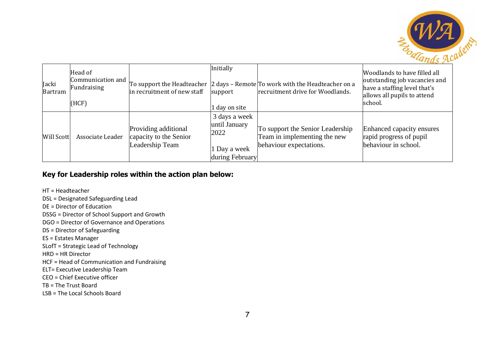

| Jacki<br><b>Bartram</b> | Head of<br>Communication and<br>Fundraising<br>(HCF) | To support the Headteacher<br>in recruitment of new staff         | Initially<br>support<br>1 day on site                                     | 2 days - Remote To work with the Headteacher on a<br>recruitment drive for Woodlands.       | Woodlands to have filled all<br>outstanding job vacancies and<br>have a staffing level that's<br>allows all pupils to attend<br>school. |
|-------------------------|------------------------------------------------------|-------------------------------------------------------------------|---------------------------------------------------------------------------|---------------------------------------------------------------------------------------------|-----------------------------------------------------------------------------------------------------------------------------------------|
| <b>Will Scott</b>       | Associate Leader                                     | Providing additional<br>capacity to the Senior<br>Leadership Team | 3 days a week<br>until January<br>2022<br>1 Day a week<br>during February | To support the Senior Leadership<br>Team in implementing the new<br>behaviour expectations. | Enhanced capacity ensures<br>rapid progress of pupil<br>behaviour in school.                                                            |

### **Key for Leadership roles within the action plan below:**

HT = Headteacher

DSL = Designated Safeguarding Lead

DE = Director of Education

DSSG = Director of School Support and Growth

DGO = Director of Governance and Operations

DS = Director of Safeguarding

ES = Estates Manager

SLofT = Strategic Lead of Technology

HRD = HR Director

HCF = Head of Communication and Fundraising

ELT= Executive Leadership Team

CEO = Chief Executive officer

TB = The Trust Board

LSB = The Local Schools Board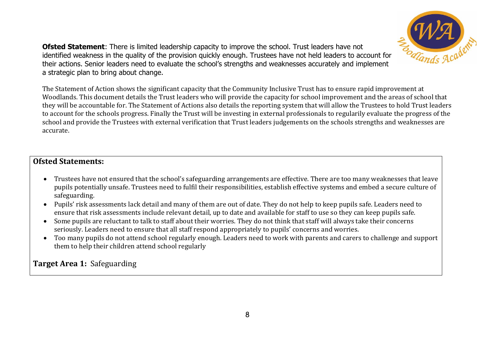

**Ofsted Statement:** There is limited leadership capacity to improve the school. Trust leaders have not identified weakness in the quality of the provision quickly enough. Trustees have not held leaders to account for their actions. Senior leaders need to evaluate the school's strengths and weaknesses accurately and implement a strategic plan to bring about change.

The Statement of Action shows the significant capacity that the Community Inclusive Trust has to ensure rapid improvement at Woodlands. This document details the Trust leaders who will provide the capacity for school improvement and the areas of school that they will be accountable for. The Statement of Actions also details the reporting system that will allow the Trustees to hold Trust leaders to account for the schools progress. Finally the Trust will be investing in external professionals to regularily evaluate the progress of the school and provide the Trustees with external verification that Trust leaders judgements on the schools strengths and weaknesses are accurate.

## **Ofsted Statements:**

- Trustees have not ensured that the school's safeguarding arrangements are effective. There are too many weaknesses that leave pupils potentially unsafe. Trustees need to fulfil their responsibilities, establish effective systems and embed a secure culture of safeguarding.
- Pupils' risk assessments lack detail and many of them are out of date. They do not help to keep pupils safe. Leaders need to ensure that risk assessments include relevant detail, up to date and available for staff to use so they can keep pupils safe.
- Some pupils are reluctant to talk to staff about their worries. They do not think that staff will always take their concerns seriously. Leaders need to ensure that all staff respond appropriately to pupils' concerns and worries.
- Too many pupils do not attend school regularly enough. Leaders need to work with parents and carers to challenge and support them to help their children attend school regularly

**Target Area 1:** Safeguarding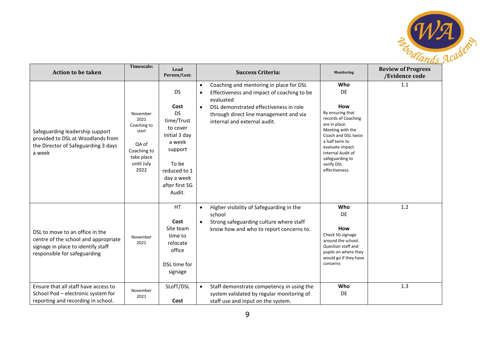

| <b>Action to be taken</b>                                                                                                                     | Timescale:                                                                                           | Lead<br>Person/Cost:                                                                                                                                              |                        | <b>Success Criteria:</b>                                                                                                                                                                                               | Monitoring                                                                                                                                                                                                                            | <b>Review of Progress</b><br>/Evidence code |
|-----------------------------------------------------------------------------------------------------------------------------------------------|------------------------------------------------------------------------------------------------------|-------------------------------------------------------------------------------------------------------------------------------------------------------------------|------------------------|------------------------------------------------------------------------------------------------------------------------------------------------------------------------------------------------------------------------|---------------------------------------------------------------------------------------------------------------------------------------------------------------------------------------------------------------------------------------|---------------------------------------------|
| Safeguarding leadership support<br>provided to DSL at Woodlands from<br>the Director of Safeguarding 3 days<br>a week                         | November<br>2021<br>Coaching to<br>start<br>QA of<br>Coaching to<br>take place<br>until July<br>2022 | <b>DS</b><br>Cost<br><b>DS</b><br>time/Trust<br>to cover<br>initial 3 day<br>a week<br>support<br>To be<br>reduced to 1<br>day a week<br>after first SG<br>Audit. | $\bullet$<br>$\bullet$ | Coaching and mentoring in place for DSL<br>Effectiveness and impact of coaching to be<br>evaluated<br>DSL demonstrated effectiveness in role<br>through direct line management and via<br>internal and external audit. | Who<br>DE<br>How<br>By ensuring that<br>records of Coaching<br>are in place.<br>Meeting with the<br>Coach and DSL twice<br>a half term to<br>evaluate impact.<br>Internal Audit of<br>safeguarding to<br>verify DSL<br>effectiveness. | 1.1                                         |
| DSL to move to an office in the<br>centre of the school and appropriate<br>signage in place to identify staff<br>responsible for safeguarding | November<br>2021                                                                                     | HT<br>Cost<br>Site team<br>time to<br>relocate<br>office<br>DSL time for<br>signage                                                                               | $\bullet$              | Higher visibility of Safeguarding in the<br>school<br>Strong safeguarding culture where staff<br>know how and who to report concerns to.                                                                               | Who<br>DE<br>How<br>Check SG signage<br>around the school.<br>Question staff and<br>pupils on where they<br>would go if they have<br>concerns                                                                                         | 1.2                                         |
| Ensure that all staff have access to<br>School Pod - electronic system for<br>reporting and recording in school.                              | November<br>2021                                                                                     | SLofT/DSL<br>Cost                                                                                                                                                 |                        | Staff demonstrate competency in using the<br>system validated by regular monitoring of<br>staff use and input on the system.                                                                                           | Who<br>DE                                                                                                                                                                                                                             | 1.3                                         |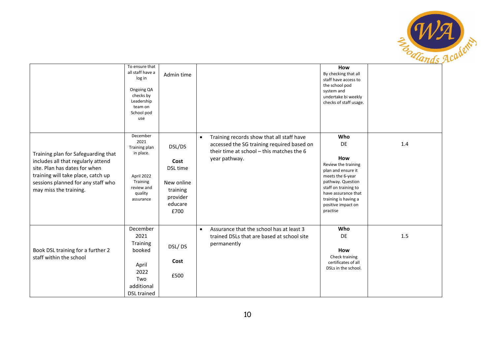

|                                                                                                                                                                                                                  | To ensure that<br>all staff have a<br>log in<br>Ongoing QA<br>checks by<br>Leadership<br>team on<br>School pod<br>use | Admin time                                                                                 |           |                                                                                                                                                       | How<br>By checking that all<br>staff have access to<br>the school pod<br>system and<br>undertake bi weekly<br>checks of staff usage.                                                                            |     |
|------------------------------------------------------------------------------------------------------------------------------------------------------------------------------------------------------------------|-----------------------------------------------------------------------------------------------------------------------|--------------------------------------------------------------------------------------------|-----------|-------------------------------------------------------------------------------------------------------------------------------------------------------|-----------------------------------------------------------------------------------------------------------------------------------------------------------------------------------------------------------------|-----|
| Training plan for Safeguarding that<br>includes all that regularly attend<br>site. Plan has dates for when<br>training will take place, catch up<br>sessions planned for any staff who<br>may miss the training. | December<br>2021<br>Training plan<br>in place.<br>April 2022<br>Training<br>review and<br>quality<br>assurance        | DSL/DS<br>Cost<br><b>DSL</b> time<br>New online<br>training<br>provider<br>educare<br>£700 | $\bullet$ | Training records show that all staff have<br>accessed the SG training required based on<br>their time at school - this matches the 6<br>year pathway. | Who<br>DE<br>How<br>Review the training<br>plan and ensure it<br>meets the 6-year<br>pathway. Question<br>staff on training to<br>have assurance that<br>training is having a<br>positive impact on<br>practise | 1.4 |
| Book DSL training for a further 2<br>staff within the school                                                                                                                                                     | December<br>2021<br>Training<br>booked<br>April<br>2022<br>Two<br>additional<br><b>DSL</b> trained                    | DSL/DS<br>Cost<br>£500                                                                     | $\bullet$ | Assurance that the school has at least 3<br>trained DSLs that are based at school site<br>permanently                                                 | Who<br>DE<br>How<br>Check training<br>certificates of all<br>DSLs in the school.                                                                                                                                | 1.5 |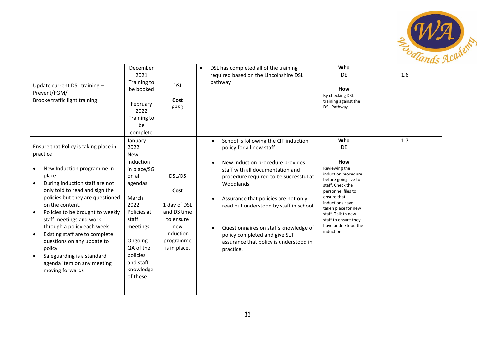

| Update current DSL training -<br>Prevent/FGM/<br>Brooke traffic light training                                                                                                                                                                                                                                                                                                                                                                                            | December<br>2021<br>Training to<br>be booked<br>February<br>2022<br>Training to<br>be<br>complete                                                                                                             | <b>DSL</b><br>Cost<br>£350                                                                                  | DSL has completed all of the training<br>required based on the Lincolnshire DSL<br>pathway                                                                                                                                                                                                                                                                                                                                                    | Who<br>DE<br>How<br>By checking DSL<br>training against the<br>DSL Pathway.                                                                                                                                                                                                   | 1.6 |
|---------------------------------------------------------------------------------------------------------------------------------------------------------------------------------------------------------------------------------------------------------------------------------------------------------------------------------------------------------------------------------------------------------------------------------------------------------------------------|---------------------------------------------------------------------------------------------------------------------------------------------------------------------------------------------------------------|-------------------------------------------------------------------------------------------------------------|-----------------------------------------------------------------------------------------------------------------------------------------------------------------------------------------------------------------------------------------------------------------------------------------------------------------------------------------------------------------------------------------------------------------------------------------------|-------------------------------------------------------------------------------------------------------------------------------------------------------------------------------------------------------------------------------------------------------------------------------|-----|
| Ensure that Policy is taking place in<br>practice<br>New Induction programme in<br>place<br>During induction staff are not<br>only told to read and sign the<br>policies but they are questioned<br>on the content.<br>Policies to be brought to weekly<br>staff meetings and work<br>through a policy each week<br>Existing staff are to complete<br>questions on any update to<br>policy<br>Safeguarding is a standard<br>agenda item on any meeting<br>moving forwards | January<br>2022<br><b>New</b><br>induction<br>in place/SG<br>on all<br>agendas<br>March<br>2022<br>Policies at<br>staff<br>meetings<br>Ongoing<br>QA of the<br>policies<br>and staff<br>knowledge<br>of these | DSL/DS<br>Cost<br>1 day of DSL<br>and DS time<br>to ensure<br>new<br>induction<br>programme<br>is in place. | School is following the CIT induction<br>$\bullet$<br>policy for all new staff<br>New induction procedure provides<br>staff with all documentation and<br>procedure required to be successful at<br>Woodlands<br>Assurance that policies are not only<br>read but understood by staff in school<br>Questionnaires on staffs knowledge of<br>$\bullet$<br>policy completed and give SLT<br>assurance that policy is understood in<br>practice. | Who<br><b>DE</b><br>How<br>Reviewing the<br>induction procedure<br>before going live to<br>staff. Check the<br>personnel files to<br>ensure that<br>inductions have<br>taken place for new<br>staff. Talk to new<br>staff to ensure they<br>have understood the<br>induction. | 1.7 |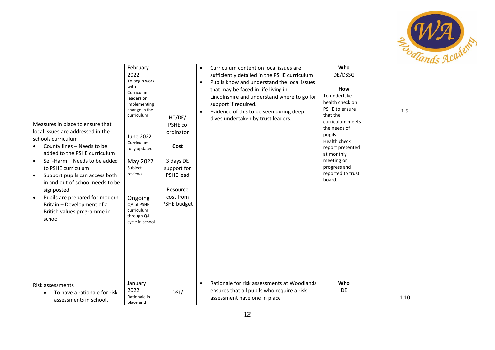

| Measures in place to ensure that<br>local issues are addressed in the<br>schools curriculum<br>County lines - Needs to be<br>$\bullet$<br>added to the PSHE curriculum<br>Self-Harm - Needs to be added<br>$\bullet$<br>to PSHE curriculum<br>Support pupils can access both<br>$\bullet$<br>in and out of school needs to be<br>signposted<br>Pupils are prepared for modern<br>$\bullet$<br>Britain - Development of a<br>British values programme in<br>school | February<br>2022<br>To begin work<br>with<br>Curriculum<br>leaders on<br>implementing<br>change in the<br>curriculum<br>June 2022<br>Curriculum<br>fully updated<br>May 2022<br>Subject<br>reviews<br>Ongoing<br>QA of PSHE<br>curriculum<br>through QA<br>cycle in school | HT/DE/<br>PSHE co<br>ordinator<br>Cost<br>3 days DE<br>support for<br>PSHE lead<br>Resource<br>cost from<br>PSHE budget | $\bullet$<br>$\bullet$<br>$\bullet$<br>$\bullet$ | Curriculum content on local issues are<br>sufficiently detailed in the PSHE curriculum<br>Pupils know and understand the local issues<br>that may be faced in life living in<br>Lincolnshire and understand where to go for<br>support if required.<br>Evidence of this to be seen during deep<br>dives undertaken by trust leaders. | Who<br>DE/DSSG<br>How<br>To undertake<br>health check on<br>PSHE to ensure<br>that the<br>curriculum meets<br>the needs of<br>pupils.<br><b>Health check</b><br>report presented<br>at monthly<br>meeting on<br>progress and<br>reported to trust<br>board.<br>Who | 1.9  |
|-------------------------------------------------------------------------------------------------------------------------------------------------------------------------------------------------------------------------------------------------------------------------------------------------------------------------------------------------------------------------------------------------------------------------------------------------------------------|----------------------------------------------------------------------------------------------------------------------------------------------------------------------------------------------------------------------------------------------------------------------------|-------------------------------------------------------------------------------------------------------------------------|--------------------------------------------------|--------------------------------------------------------------------------------------------------------------------------------------------------------------------------------------------------------------------------------------------------------------------------------------------------------------------------------------|--------------------------------------------------------------------------------------------------------------------------------------------------------------------------------------------------------------------------------------------------------------------|------|
| Risk assessments<br>To have a rationale for risk<br>assessments in school.                                                                                                                                                                                                                                                                                                                                                                                        | January<br>2022<br>Rationale in<br>place and                                                                                                                                                                                                                               | DSL/                                                                                                                    |                                                  | Rationale for risk assessments at Woodlands<br>ensures that all pupils who require a risk<br>assessment have one in place                                                                                                                                                                                                            | DE                                                                                                                                                                                                                                                                 | 1.10 |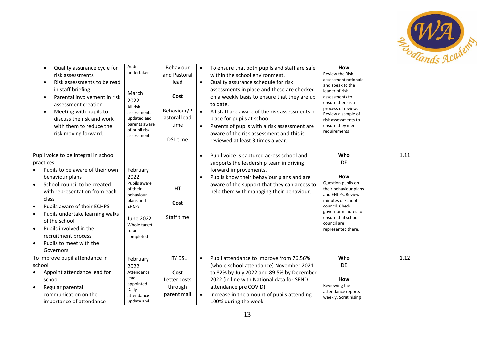

| Quality assurance cycle for<br>$\bullet$<br>risk assessments<br>Risk assessments to be read<br>$\bullet$<br>in staff briefing<br>Parental involvement in risk<br>$\bullet$<br>assessment creation<br>Meeting with pupils to<br>$\bullet$<br>discuss the risk and work<br>with them to reduce the<br>risk moving forward.                                                                                                                    | Audit<br>undertaken<br>March<br>2022<br>All risk<br>assessments<br>updated and<br>parents aware<br>of pupil risk<br>assessment            | Behaviour<br>and Pastoral<br>lead<br>Cost<br>Behaviour/P<br>astoral lead<br>time<br><b>DSL</b> time | $\bullet$<br>$\bullet$ | To ensure that both pupils and staff are safe<br>within the school environment.<br>Quality assurance schedule for risk<br>assessments in place and these are checked<br>on a weekly basis to ensure that they are up<br>to date.<br>All staff are aware of the risk assessments in<br>place for pupils at school<br>Parents of pupils with a risk assessment are<br>aware of the risk assessment and this is<br>reviewed at least 3 times a year. | How<br><b>Review the Risk</b><br>assessment rationale<br>and speak to the<br>leader of risk<br>assessments to<br>ensure there is a<br>process of review.<br>Review a sample of<br>risk assessments to<br>ensure they meet<br>requirements |      |
|---------------------------------------------------------------------------------------------------------------------------------------------------------------------------------------------------------------------------------------------------------------------------------------------------------------------------------------------------------------------------------------------------------------------------------------------|-------------------------------------------------------------------------------------------------------------------------------------------|-----------------------------------------------------------------------------------------------------|------------------------|---------------------------------------------------------------------------------------------------------------------------------------------------------------------------------------------------------------------------------------------------------------------------------------------------------------------------------------------------------------------------------------------------------------------------------------------------|-------------------------------------------------------------------------------------------------------------------------------------------------------------------------------------------------------------------------------------------|------|
| Pupil voice to be integral in school<br>practices<br>Pupils to be aware of their own<br>$\bullet$<br>behaviour plans<br>School council to be created<br>$\bullet$<br>with representation from each<br>class<br>Pupils aware of their ECHPS<br>$\bullet$<br>Pupils undertake learning walks<br>$\bullet$<br>of the school<br>Pupils involved in the<br>$\bullet$<br>recruitment process<br>Pupils to meet with the<br>$\bullet$<br>Governors | February<br>2022<br>Pupils aware<br>of their<br>behaviour<br>plans and<br><b>EHCPs</b><br>June 2022<br>Whole target<br>to be<br>completed | HT<br>Cost<br>Staff time                                                                            | $\bullet$<br>$\bullet$ | Pupil voice is captured across school and<br>supports the leadership team in driving<br>forward improvements.<br>Pupils know their behaviour plans and are<br>aware of the support that they can access to<br>help them with managing their behaviour.                                                                                                                                                                                            | Who<br>DE<br>How<br>Question pupils on<br>their behaviour plans<br>and EHCPs. Review<br>minutes of school<br>council. Check<br>governor minutes to<br>ensure that school<br>council are<br>represented there.                             | 1.11 |
| To improve pupil attendance in<br>school<br>Appoint attendance lead for<br>school<br>Regular parental<br>$\bullet$<br>communication on the<br>importance of attendance                                                                                                                                                                                                                                                                      | February<br>2022<br>Attendance<br>lead<br>appointed<br>Daily<br>attendance<br>update and                                                  | HT/DSL<br>Cost<br>Letter costs<br>through<br>parent mail                                            | $\bullet$              | Pupil attendance to improve from 76.56%<br>(whole school attendance) November 2021<br>to 82% by July 2022 and 89.5% by December<br>2022 (in line with National data for SEND<br>attendance pre COVID)<br>Increase in the amount of pupils attending<br>100% during the week                                                                                                                                                                       | Who<br>DE<br>How<br>Reviewing the<br>attendance reports<br>weekly. Scrutinising                                                                                                                                                           | 1.12 |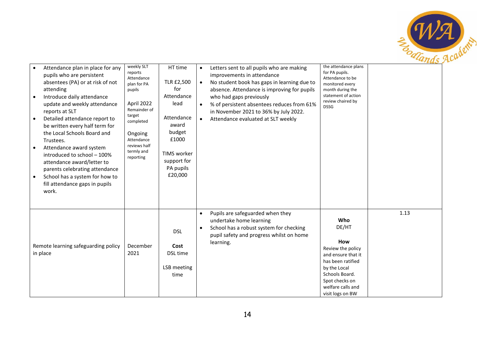

| Attendance plan in place for any<br>pupils who are persistent<br>absentees (PA) or at risk of not<br>attending<br>Introduce daily attendance<br>update and weekly attendance<br>reports at SLT<br>Detailed attendance report to<br>be written every half term for<br>the Local Schools Board and<br>Trustees.<br>Attendance award system<br>introduced to school - 100%<br>attendance award/letter to<br>parents celebrating attendance<br>School has a system for how to<br>fill attendance gaps in pupils<br>work. | weekly SLT<br>reports<br>Attendance<br>plan for PA<br>pupils<br>April 2022<br>Remainder of<br>target<br>completed<br>Ongoing<br>Attendance<br>reviews half<br>termly and<br>reporting | HT time<br>TLR £2,500<br>for<br>Attendance<br>lead<br>Attendance<br>award<br>budget<br>£1000<br><b>TIMS</b> worker<br>support for<br>PA pupils<br>£20,000 | $\bullet$<br>$\bullet$<br>$\bullet$ | Letters sent to all pupils who are making<br>improvements in attendance<br>No student book has gaps in learning due to<br>absence. Attendance is improving for pupils<br>who had gaps previously<br>% of persistent absentees reduces from 61%<br>in November 2021 to 36% by July 2022.<br>Attendance evaluated at SLT weekly | the attendance plans<br>for PA pupils.<br>Attendance to be<br>monitored every<br>month during the<br>statement of action<br>review chaired by<br><b>DSSG</b>                     | $\sim$ $\sim$ $\sim$ $\sim$ |
|----------------------------------------------------------------------------------------------------------------------------------------------------------------------------------------------------------------------------------------------------------------------------------------------------------------------------------------------------------------------------------------------------------------------------------------------------------------------------------------------------------------------|---------------------------------------------------------------------------------------------------------------------------------------------------------------------------------------|-----------------------------------------------------------------------------------------------------------------------------------------------------------|-------------------------------------|-------------------------------------------------------------------------------------------------------------------------------------------------------------------------------------------------------------------------------------------------------------------------------------------------------------------------------|----------------------------------------------------------------------------------------------------------------------------------------------------------------------------------|-----------------------------|
| Remote learning safeguarding policy<br>in place                                                                                                                                                                                                                                                                                                                                                                                                                                                                      | December<br>2021                                                                                                                                                                      | <b>DSL</b><br>Cost<br>DSL time<br>LSB meeting<br>time                                                                                                     | $\bullet$                           | Pupils are safeguarded when they<br>undertake home learning<br>School has a robust system for checking<br>pupil safety and progress whilst on home<br>learning.                                                                                                                                                               | Who<br>DE/HT<br>How<br>Review the policy<br>and ensure that it<br>has been ratified<br>by the Local<br>Schools Board.<br>Spot checks on<br>welfare calls and<br>visit logs on BW | 1.13                        |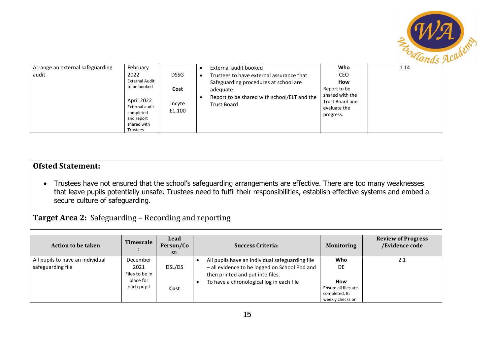

| Arrange an external safeguarding<br>audit | February<br>2022<br>External Audit<br>to be booked<br>April 2022<br>External audit<br>completed<br>and report<br>shared with<br>Trustees | <b>DSSG</b><br>Cost<br>Incyte<br>£1,100 |  | External audit booked<br>Trustees to have external assurance that<br>Safeguarding procedures at school are<br>adequate<br>Report to be shared with school/ELT and the<br><b>Trust Board</b> | Who<br>CEO<br>How<br>Report to be<br>shared with the<br>Trust Board and<br>evaluate the<br>progress. | $\sim$<br>1.14 |
|-------------------------------------------|------------------------------------------------------------------------------------------------------------------------------------------|-----------------------------------------|--|---------------------------------------------------------------------------------------------------------------------------------------------------------------------------------------------|------------------------------------------------------------------------------------------------------|----------------|
|-------------------------------------------|------------------------------------------------------------------------------------------------------------------------------------------|-----------------------------------------|--|---------------------------------------------------------------------------------------------------------------------------------------------------------------------------------------------|------------------------------------------------------------------------------------------------------|----------------|

• Trustees have not ensured that the school's safeguarding arrangements are effective. There are too many weaknesses that leave pupils potentially unsafe. Trustees need to fulfil their responsibilities, establish effective systems and embed a secure culture of safeguarding.

**Target Area 2:** Safeguarding – Recording and reporting

| <b>Action to be taken</b>                             | <b>Timescale</b>                                              | Lead<br>Person/Co<br>st: | <b>Success Criteria:</b>                                                                                                                                                         | <b>Monitoring</b>                                                             | <b>Review of Progress</b><br>/Evidence code |
|-------------------------------------------------------|---------------------------------------------------------------|--------------------------|----------------------------------------------------------------------------------------------------------------------------------------------------------------------------------|-------------------------------------------------------------------------------|---------------------------------------------|
| All pupils to have an individual<br>safeguarding file | December<br>2021<br>Files to be in<br>place for<br>each pupil | DSL/DS<br>Cost           | All pupils have an individual safeguarding file<br>- all evidence to be logged on School Pod and<br>then printed and put into files.<br>To have a chronological log in each file | Who<br>DE<br>How<br>Ensure all files are<br>completed. Bi<br>weekly checks on | 2.1                                         |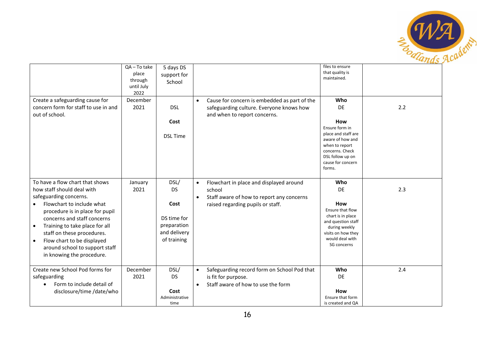

|                                                                                                                                                                                                                                                                                                                                                                               | QA-To take<br>place<br>through<br>until July<br>2022 | 5 days DS<br>support for<br>School                                                     |                        |                                                                                                                                     | files to ensure<br>that quality is<br>maintained.                                                                                                                     |     |
|-------------------------------------------------------------------------------------------------------------------------------------------------------------------------------------------------------------------------------------------------------------------------------------------------------------------------------------------------------------------------------|------------------------------------------------------|----------------------------------------------------------------------------------------|------------------------|-------------------------------------------------------------------------------------------------------------------------------------|-----------------------------------------------------------------------------------------------------------------------------------------------------------------------|-----|
| Create a safeguarding cause for<br>concern form for staff to use in and<br>out of school.                                                                                                                                                                                                                                                                                     | December<br>2021                                     | <b>DSL</b><br>Cost<br><b>DSL Time</b>                                                  | $\bullet$              | Cause for concern is embedded as part of the<br>safeguarding culture. Everyone knows how<br>and when to report concerns.            | Who<br>DE<br>How<br>Ensure form in<br>place and staff are<br>aware of how and<br>when to report<br>concerns. Check<br>DSL follow up on<br>cause for concern<br>forms. | 2.2 |
| To have a flow chart that shows<br>how staff should deal with<br>safeguarding concerns.<br>Flowchart to include what<br>$\bullet$<br>procedure is in place for pupil<br>concerns and staff concerns<br>Training to take place for all<br>staff on these procedures.<br>Flow chart to be displayed<br>$\bullet$<br>around school to support staff<br>in knowing the procedure. | January<br>2021                                      | DSL/<br><b>DS</b><br>Cost<br>DS time for<br>preparation<br>and delivery<br>of training | $\bullet$<br>$\bullet$ | Flowchart in place and displayed around<br>school<br>Staff aware of how to report any concerns<br>raised regarding pupils or staff. | Who<br><b>DE</b><br>How<br>Ensure that flow<br>chart is in place<br>and question staff<br>during weekly<br>visits on how they<br>would deal with<br>SG concerns       | 2.3 |
| Create new School Pod forms for<br>safeguarding<br>Form to include detail of<br>disclosure/time /date/who                                                                                                                                                                                                                                                                     | December<br>2021                                     | DSL/<br><b>DS</b><br>Cost<br>Administrative<br>time                                    | $\bullet$<br>$\bullet$ | Safeguarding record form on School Pod that<br>is fit for purpose.<br>Staff aware of how to use the form                            | Who<br>DE<br>How<br>Ensure that form<br>is created and QA                                                                                                             | 2.4 |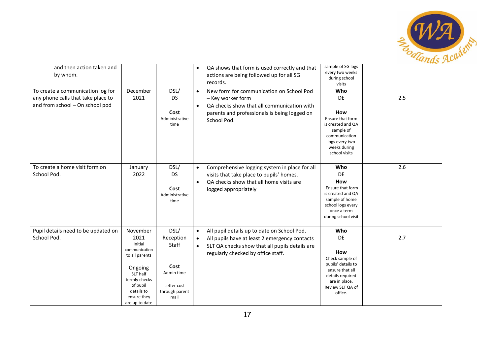

| and then action taken and<br>by whom.                                                                      |                                                                                                                                                                   |                                                                                           | $\bullet$                           | QA shows that form is used correctly and that<br>actions are being followed up for all SG<br>records.                                                                                | sample of SG logs<br>every two weeks<br>during school<br>visits                                                                                         |     |
|------------------------------------------------------------------------------------------------------------|-------------------------------------------------------------------------------------------------------------------------------------------------------------------|-------------------------------------------------------------------------------------------|-------------------------------------|--------------------------------------------------------------------------------------------------------------------------------------------------------------------------------------|---------------------------------------------------------------------------------------------------------------------------------------------------------|-----|
| To create a communication log for<br>any phone calls that take place to<br>and from school - On school pod | December<br>2021                                                                                                                                                  | DSL/<br><b>DS</b><br>Cost<br>Administrative<br>time                                       | $\bullet$<br>$\bullet$              | New form for communication on School Pod<br>- Key worker form<br>QA checks show that all communication with<br>parents and professionals is being logged on<br>School Pod.           | Who<br>DE<br>How<br>Ensure that form<br>is created and QA<br>sample of<br>communication<br>logs every two<br>weeks during<br>school visits              | 2.5 |
| To create a home visit form on<br>School Pod.                                                              | January<br>2022                                                                                                                                                   | DSL/<br><b>DS</b><br>Cost<br>Administrative<br>time                                       | $\bullet$<br>$\bullet$              | Comprehensive logging system in place for all<br>visits that take place to pupils' homes.<br>QA checks show that all home visits are<br>logged appropriately                         | Who<br><b>DE</b><br>How<br>Ensure that form<br>is created and QA<br>sample of home<br>school logs every<br>once a term<br>during school visit           | 2.6 |
| Pupil details need to be updated on<br>School Pod.                                                         | November<br>2021<br>Initial<br>communication<br>to all parents<br>Ongoing<br>SLT half<br>termly checks<br>of pupil<br>details to<br>ensure they<br>are up to date | DSL/<br>Reception<br>Staff<br>Cost<br>Admin time<br>Letter cost<br>through parent<br>mail | $\bullet$<br>$\bullet$<br>$\bullet$ | All pupil details up to date on School Pod.<br>All pupils have at least 2 emergency contacts<br>SLT QA checks show that all pupils details are<br>regularly checked by office staff. | Who<br>DE<br><b>How</b><br>Check sample of<br>pupils' details to<br>ensure that all<br>details required<br>are in place.<br>Review SLT QA of<br>office. | 2.7 |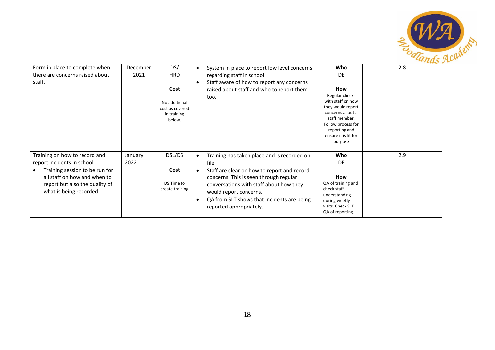

| Form in place to complete when<br>there are concerns raised about<br>staff.                                                                                                                | December<br>2021 | DS/<br><b>HRD</b><br>Cost<br>No additional<br>cost as covered<br>in training<br>below. | $\bullet$<br>$\bullet$              | System in place to report low level concerns<br>regarding staff in school<br>Staff aware of how to report any concerns<br>raised about staff and who to report them<br>too.                                                                                                                | Who<br>DE<br>How<br>Regular checks<br>with staff on how<br>they would report<br>concerns about a<br>staff member.<br>Follow process for<br>reporting and<br>ensure it is fit for<br>purpose | 2.8 |
|--------------------------------------------------------------------------------------------------------------------------------------------------------------------------------------------|------------------|----------------------------------------------------------------------------------------|-------------------------------------|--------------------------------------------------------------------------------------------------------------------------------------------------------------------------------------------------------------------------------------------------------------------------------------------|---------------------------------------------------------------------------------------------------------------------------------------------------------------------------------------------|-----|
| Training on how to record and<br>report incidents in school<br>Training session to be run for<br>all staff on how and when to<br>report but also the quality of<br>what is being recorded. | January<br>2022  | DSL/DS<br>Cost<br>DS Time to<br>create training                                        | $\bullet$<br>$\bullet$<br>$\bullet$ | Training has taken place and is recorded on<br>file<br>Staff are clear on how to report and record<br>concerns. This is seen through regular<br>conversations with staff about how they<br>would report concerns.<br>QA from SLT shows that incidents are being<br>reported appropriately. | Who<br>DE<br>How<br>QA of training and<br>check staff<br>understanding<br>during weekly<br>visits. Check SLT<br>QA of reporting.                                                            | 2.9 |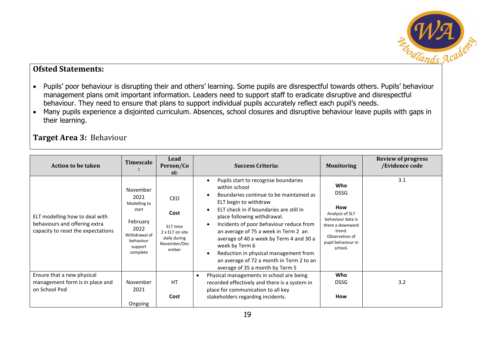

- Pupils' poor behaviour is disrupting their and others' learning. Some pupils are disrespectful towards others. Pupils' behaviour management plans omit important information. Leaders need to support staff to eradicate disruptive and disrespectful behaviour. They need to ensure that plans to support individual pupils accurately reflect each pupil's needs.
- Many pupils experience a disjointed curriculum. Absences, school closures and disruptive behaviour leave pupils with gaps in their learning.

**Target Area 3:** Behaviour

| <b>Action to be taken</b>                                                                             | Timescale                                                                                                          | Lead<br>Person/Co<br>st:                                                                   |           | <b>Success Criteria:</b>                                                                                                                                                                                                                                                                                                                                                                                                                                                                              | <b>Monitoring</b>                                                                                                                                  | <b>Review of progress</b><br>/Evidence code |
|-------------------------------------------------------------------------------------------------------|--------------------------------------------------------------------------------------------------------------------|--------------------------------------------------------------------------------------------|-----------|-------------------------------------------------------------------------------------------------------------------------------------------------------------------------------------------------------------------------------------------------------------------------------------------------------------------------------------------------------------------------------------------------------------------------------------------------------------------------------------------------------|----------------------------------------------------------------------------------------------------------------------------------------------------|---------------------------------------------|
| ELT modelling how to deal with<br>behaviours and offering extra<br>capacity to reset the expectations | November<br>2021<br>Modelling to<br>start<br>February<br>2022<br>Withdrawal of<br>behaviour<br>support<br>complete | <b>CEO</b><br>Cost<br>ELT time<br>2 x ELT on site<br>daily during<br>November/Dec<br>ember |           | Pupils start to recognise boundaries<br>within school<br>Boundaries continue to be maintained as<br>ELT begin to withdraw<br>ELT check in if boundaries are still in<br>place following withdrawal.<br>Incidents of poor behaviour reduce from<br>$\bullet$<br>an average of 75 a week in Term 2 an<br>average of 40 a week by Term 4 and 30 a<br>week by Term 6<br>Reduction in physical management from<br>$\bullet$<br>an average of 72 a month in Term 2 to an<br>average of 35 a month by Term 5 | Who<br><b>DSSG</b><br>How<br>Analysis of SLT<br>behaviour data is<br>there a downward<br>trend.<br>Observation of<br>pupil behaviour in<br>school. | 3.1                                         |
| Ensure that a new physical<br>management form is in place and<br>on School Pod                        | November<br>2021                                                                                                   | HT                                                                                         | $\bullet$ | Physical managements in school are being<br>recorded effectively and there is a system in<br>place for communication to all key                                                                                                                                                                                                                                                                                                                                                                       | Who<br><b>DSSG</b>                                                                                                                                 | 3.2                                         |
|                                                                                                       | Ongoing                                                                                                            | Cost                                                                                       |           | stakeholders regarding incidents.                                                                                                                                                                                                                                                                                                                                                                                                                                                                     | How                                                                                                                                                |                                             |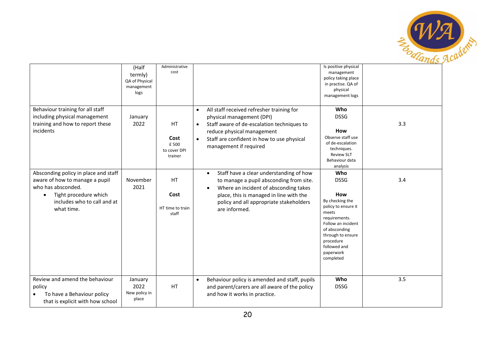

|                                                                                                                                                                                 | (Half<br>termly)<br>QA of Physical<br>management<br>logs | Administrative<br>cost                        |                                     |                                                                                                                                                                                                                                                              | Is positive physical<br>management<br>policy taking place<br>in practise. QA of<br>physical<br>management logs                                                                                                   |     |
|---------------------------------------------------------------------------------------------------------------------------------------------------------------------------------|----------------------------------------------------------|-----------------------------------------------|-------------------------------------|--------------------------------------------------------------------------------------------------------------------------------------------------------------------------------------------------------------------------------------------------------------|------------------------------------------------------------------------------------------------------------------------------------------------------------------------------------------------------------------|-----|
| Behaviour training for all staff<br>including physical management<br>training and how to report these<br>incidents                                                              | January<br>2022                                          | HT<br>Cost<br>£500<br>to cover DPI<br>trainer | $\bullet$<br>$\bullet$<br>$\bullet$ | All staff received refresher training for<br>physical management (DPI)<br>Staff aware of de-escalation techniques to<br>reduce physical management<br>Staff are confident in how to use physical<br>management if required                                   | Who<br><b>DSSG</b><br>How<br>Observe staff use<br>of de-escalation<br>techniques.<br><b>Review SLT</b><br>Behaviour data<br>analysis                                                                             | 3.3 |
| Absconding policy in place and staff<br>aware of how to manage a pupil<br>who has absconded.<br>Tight procedure which<br>$\bullet$<br>includes who to call and at<br>what time. | November<br>2021                                         | HT<br>Cost<br>HT time to train<br>staff       |                                     | Staff have a clear understanding of how<br>$\bullet$<br>to manage a pupil absconding from site.<br>Where an incident of absconding takes<br>$\bullet$<br>place, this is managed in line with the<br>policy and all appropriate stakeholders<br>are informed. | Who<br><b>DSSG</b><br>How<br>By checking the<br>policy to ensure it<br>meets<br>requirements.<br>Follow an incident<br>of absconding<br>through to ensure<br>procedure<br>followed and<br>paperwork<br>completed | 3.4 |
| Review and amend the behaviour<br>policy<br>To have a Behaviour policy<br>that is explicit with how school                                                                      | January<br>2022<br>New policy in<br>place                | HT                                            | $\bullet$                           | Behaviour policy is amended and staff, pupils<br>and parent/carers are all aware of the policy<br>and how it works in practice.                                                                                                                              | Who<br><b>DSSG</b>                                                                                                                                                                                               | 3.5 |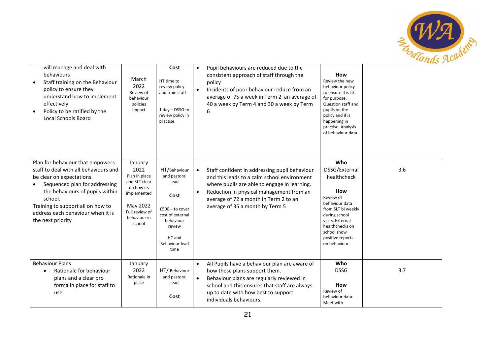

| will manage and deal with<br>behaviours<br>Staff training on the Behaviour<br>policy to ensure they<br>understand how to implement<br>effectively<br>Policy to be ratified by the<br>$\bullet$<br><b>Local Schools Board</b>                                                                      | March<br>2022<br>Review of<br>behaviour<br>policies<br>impact                                                                          | Cost<br>HT time to<br>review policy<br>and train staff<br>1 day - DSSG to<br>review policy in<br>practise.                                       | $\bullet$<br>$\bullet$ | Pupil behaviours are reduced due to the<br>consistent approach of staff through the<br>policy<br>Incidents of poor behaviour reduce from an<br>average of 75 a week in Term 2 an average of<br>40 a week by Term 4 and 30 a week by Term<br>6                        | How<br>Review the new<br>behaviour policy<br>to ensure it is fit<br>for purpose.<br>Question staff and<br>pupils on the<br>policy and if is<br>happening in<br>practise. Analysis<br>of behaviour data.     |     |
|---------------------------------------------------------------------------------------------------------------------------------------------------------------------------------------------------------------------------------------------------------------------------------------------------|----------------------------------------------------------------------------------------------------------------------------------------|--------------------------------------------------------------------------------------------------------------------------------------------------|------------------------|----------------------------------------------------------------------------------------------------------------------------------------------------------------------------------------------------------------------------------------------------------------------|-------------------------------------------------------------------------------------------------------------------------------------------------------------------------------------------------------------|-----|
| Plan for behaviour that empowers<br>staff to deal with all behaviours and<br>be clear on expectations.<br>Sequenced plan for addressing<br>$\bullet$<br>the behaviours of pupils within<br>school.<br>Training to support all on how to<br>address each behaviour when it is<br>the next priority | January<br>2022<br>Plan in place<br>and SLT clear<br>on how its<br>implemented<br>May 2022<br>Full review of<br>behaviour in<br>school | HT/Behaviour<br>and pastoral<br>lead<br>Cost<br>$£500 - to cover$<br>cost of external<br>behaviour<br>review<br>HT and<br>Behaviour lead<br>time | $\bullet$<br>$\bullet$ | Staff confident in addressing pupil behaviour<br>and this leads to a calm school environment<br>where pupils are able to engage in learning.<br>Reduction in physical management from an<br>average of 72 a month in Term 2 to an<br>average of 35 a month by Term 5 | Who<br>DSSG/External<br>healthcheck<br>How<br>Review of<br>behaviour data<br>from SLT bi weekly<br>during school<br>visits. External<br>healthchecks on<br>school show<br>positive reports<br>on behaviour. | 3.6 |
| <b>Behaviour Plans</b><br>Rationale for behaviour<br>plans and a clear pro<br>forma in place for staff to<br>use.                                                                                                                                                                                 | January<br>2022<br>Rationale in<br>place                                                                                               | HT/ Behaviour<br>and pastoral<br>lead<br>Cost                                                                                                    | $\bullet$<br>$\bullet$ | All Pupils have a behaviour plan are aware of<br>how these plans support them.<br>Behaviour plans are regularly reviewed in<br>school and this ensures that staff are always<br>up to date with how best to support<br>individuals behaviours.                       | Who<br><b>DSSG</b><br>How<br>Review of<br>behaviour data.<br>Meet with                                                                                                                                      | 3.7 |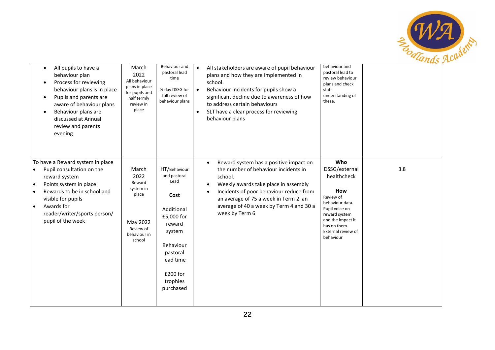

| All pupils to have a<br>$\bullet$<br>behaviour plan<br>Process for reviewing<br>$\bullet$<br>behaviour plans is in place<br>Pupils and parents are<br>aware of behaviour plans<br>Behaviour plans are<br>$\bullet$<br>discussed at Annual<br>review and parents<br>evening | March<br>2022<br>All behaviour<br>plans in place<br>for pupils and<br>half termly<br>review in<br>place | Behaviour and<br>pastoral lead<br>time<br>1/2 day DSSG for<br>full review of<br>behaviour plans                                                                         | behaviour and<br>All stakeholders are aware of pupil behaviour<br>$\bullet$<br>pastoral lead to<br>plans and how they are implemented in<br>review behaviour<br>school.<br>plans and check<br>Behaviour incidents for pupils show a<br>staff<br>$\bullet$<br>understanding of<br>significant decline due to awareness of how<br>these.<br>to address certain behaviours<br>SLT have a clear process for reviewing<br>$\bullet$<br>behaviour plans                          |     |
|----------------------------------------------------------------------------------------------------------------------------------------------------------------------------------------------------------------------------------------------------------------------------|---------------------------------------------------------------------------------------------------------|-------------------------------------------------------------------------------------------------------------------------------------------------------------------------|----------------------------------------------------------------------------------------------------------------------------------------------------------------------------------------------------------------------------------------------------------------------------------------------------------------------------------------------------------------------------------------------------------------------------------------------------------------------------|-----|
| To have a Reward system in place<br>Pupil consultation on the<br>$\bullet$<br>reward system<br>Points system in place<br>$\bullet$<br>Rewards to be in school and<br>visible for pupils<br>Awards for<br>$\bullet$<br>reader/writer/sports person/<br>pupil of the week    | March<br>2022<br>Reward<br>system in<br>place<br>May 2022<br>Review of<br>behaviour in<br>school        | HT/Behaviour<br>and pastoral<br>Lead<br>Cost<br>Additional<br>£5,000 for<br>reward<br>system<br>Behaviour<br>pastoral<br>lead time<br>£200 for<br>trophies<br>purchased | Who<br>Reward system has a positive impact on<br>the number of behaviour incidents in<br>DSSG/external<br>healthcheck<br>school.<br>Weekly awards take place in assembly<br>How<br>Incidents of poor behaviour reduce from<br>Review of<br>an average of 75 a week in Term 2 an<br>behaviour data.<br>average of 40 a week by Term 4 and 30 a<br>Pupil voice on<br>week by Term 6<br>reward system<br>and the impact it<br>has on them.<br>External review of<br>behaviour | 3.8 |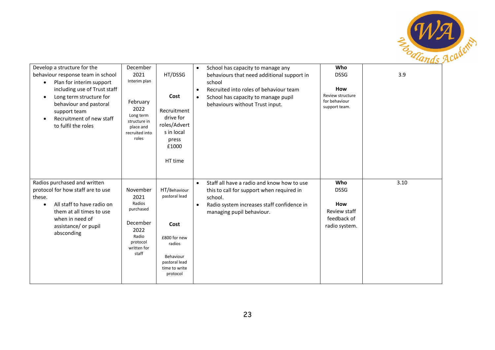

| Develop a structure for the<br>behaviour response team in school<br>Plan for interim support<br>$\bullet$<br>including use of Trust staff<br>Long term structure for<br>$\bullet$<br>behaviour and pastoral<br>support team<br>Recruitment of new staff<br>$\bullet$<br>to fulfil the roles | December<br>2021<br>Interim plan<br>February<br>2022<br>Long term<br>structure in<br>place and<br>recruited into<br>roles | HT/DSSG<br>Cost<br>Recruitment<br>drive for<br>roles/Advert<br>s in local<br>press<br>£1000<br>HT time                     | $\bullet$<br>$\bullet$<br>$\bullet$ | School has capacity to manage any<br>behaviours that need additional support in<br>school<br>Recruited into roles of behaviour team<br>School has capacity to manage pupil<br>behaviours without Trust input. | Who<br><b>DSSG</b><br>How<br><b>Review structure</b><br>for behaviour<br>support team. | 3.9  |
|---------------------------------------------------------------------------------------------------------------------------------------------------------------------------------------------------------------------------------------------------------------------------------------------|---------------------------------------------------------------------------------------------------------------------------|----------------------------------------------------------------------------------------------------------------------------|-------------------------------------|---------------------------------------------------------------------------------------------------------------------------------------------------------------------------------------------------------------|----------------------------------------------------------------------------------------|------|
| Radios purchased and written<br>protocol for how staff are to use<br>these.<br>All staff to have radio on<br>$\bullet$<br>them at all times to use<br>when in need of<br>assistance/ or pupil<br>absconding                                                                                 | November<br>2021<br>Radios<br>purchased<br>December<br>2022<br>Radio<br>protocol<br>written for<br>staff                  | HT/Behaviour<br>pastoral lead<br>Cost<br>£800 for new<br>radios<br>Behaviour<br>pastoral lead<br>time to write<br>protocol | $\bullet$<br>$\bullet$              | Staff all have a radio and know how to use<br>this to call for support when required in<br>school.<br>Radio system increases staff confidence in<br>managing pupil behaviour.                                 | Who<br><b>DSSG</b><br>How<br>Review staff<br>feedback of<br>radio system.              | 3.10 |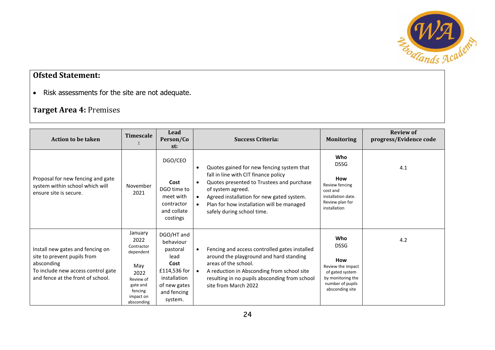

• Risk assessments for the site are not adequate.

# **Target Area 4:** Premises

| <b>Action to be taken</b>                                                                                                                                | Timescale                                                                                                                | Lead<br>Person/Co<br>st:                                                                                                      | <b>Success Criteria:</b>                                                                                                                                                                                                                                                                                           | <b>Monitoring</b>                                                                                                             | <b>Review of</b><br>progress/Evidence code |
|----------------------------------------------------------------------------------------------------------------------------------------------------------|--------------------------------------------------------------------------------------------------------------------------|-------------------------------------------------------------------------------------------------------------------------------|--------------------------------------------------------------------------------------------------------------------------------------------------------------------------------------------------------------------------------------------------------------------------------------------------------------------|-------------------------------------------------------------------------------------------------------------------------------|--------------------------------------------|
| Proposal for new fencing and gate<br>system within school which will<br>ensure site is secure.                                                           | November<br>2021                                                                                                         | DGO/CEO<br>Cost<br>DGO time to<br>meet with<br>contractor<br>and collate<br>costings                                          | Quotes gained for new fencing system that<br>fall in line with CIT finance policy<br>Quotes presented to Trustees and purchase<br>$\bullet$<br>of system agreed.<br>Agreed installation for new gated system.<br>$\bullet$<br>Plan for how installation will be managed<br>$\bullet$<br>safely during school time. | Who<br><b>DSSG</b><br>How<br>Review fencing<br>cost and<br>installation date.<br>Review plan for<br>installation              | 4.1                                        |
| Install new gates and fencing on<br>site to prevent pupils from<br>absconding<br>To include new access control gate<br>and fence at the front of school. | January<br>2022<br>Contractor<br>dependent<br>May<br>2022<br>Review of<br>gate and<br>fencing<br>impact on<br>absconding | DGO/HT and<br>behaviour<br>pastoral<br>lead<br>Cost<br>£114,536 for<br>installation<br>of new gates<br>and fencing<br>system. | Fencing and access controlled gates installed<br>$\bullet$<br>around the playground and hard standing<br>areas of the school.<br>A reduction in Absconding from school site<br>$\bullet$<br>resulting in no pupils absconding from school<br>site from March 2022                                                  | Who<br><b>DSSG</b><br>How<br>Review the impact<br>of gated system<br>by monitoring the<br>number of pupils<br>absconding site | 4.2                                        |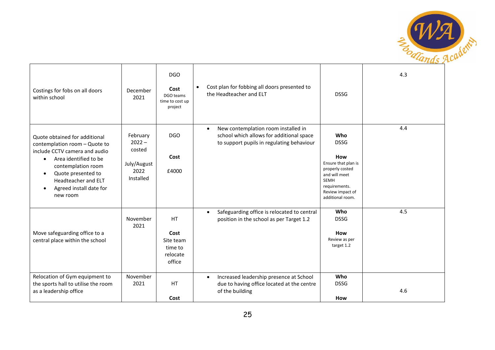

| Costings for fobs on all doors<br>within school                                                                                                                                                                                                                           | December<br>2021                                                   | <b>DGO</b><br>Cost<br>DGO teams<br>time to cost up<br>project | Cost plan for fobbing all doors presented to<br>$\bullet$<br>the Headteacher and ELT                                                                                                                          | 4.3<br><b>DSSG</b>                                                                              |
|---------------------------------------------------------------------------------------------------------------------------------------------------------------------------------------------------------------------------------------------------------------------------|--------------------------------------------------------------------|---------------------------------------------------------------|---------------------------------------------------------------------------------------------------------------------------------------------------------------------------------------------------------------|-------------------------------------------------------------------------------------------------|
| Quote obtained for additional<br>contemplation room - Quote to<br>include CCTV camera and audio<br>Area identified to be<br>$\bullet$<br>contemplation room<br>Quote presented to<br>$\bullet$<br>Headteacher and ELT<br>Agreed install date for<br>$\bullet$<br>new room | February<br>$2022 -$<br>costed<br>July/August<br>2022<br>Installed | <b>DGO</b><br>Cost<br>£4000                                   | New contemplation room installed in<br>$\bullet$<br>school which allows for additional space<br>to support pupils in regulating behaviour<br>properly costed<br>and will meet<br><b>SEMH</b><br>requirements. | 4.4<br>Who<br><b>DSSG</b><br>How<br>Ensure that plan is<br>Review impact of<br>additional room. |
| Move safeguarding office to a<br>central place within the school<br>Relocation of Gym equipment to                                                                                                                                                                        | November<br>2021<br>November                                       | HT.<br>Cost<br>Site team<br>time to<br>relocate<br>office     | Safeguarding office is relocated to central<br>$\bullet$<br>position in the school as per Target 1.2<br>Increased leadership presence at School<br>$\bullet$                                                  | Who<br>4.5<br><b>DSSG</b><br>How<br>Review as per<br>target 1.2<br>Who                          |
| the sports hall to utilise the room<br>as a leadership office                                                                                                                                                                                                             | 2021                                                               | <b>HT</b><br>Cost                                             | due to having office located at the centre<br>of the building                                                                                                                                                 | <b>DSSG</b><br>4.6<br>How                                                                       |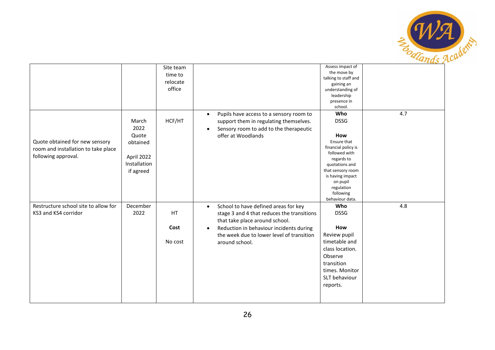

|                                                                                              |                                                                               | Site team<br>time to<br>relocate<br>office |                                                                                                                                                                                                                                                          | Assess impact of<br>the move by<br>talking to staff and<br>gaining an<br>understanding of<br>leadership<br>presence in<br>school.                                                                                   |     |
|----------------------------------------------------------------------------------------------|-------------------------------------------------------------------------------|--------------------------------------------|----------------------------------------------------------------------------------------------------------------------------------------------------------------------------------------------------------------------------------------------------------|---------------------------------------------------------------------------------------------------------------------------------------------------------------------------------------------------------------------|-----|
| Quote obtained for new sensory<br>room and installation to take place<br>following approval. | March<br>2022<br>Quote<br>obtained<br>April 2022<br>Installation<br>if agreed | HCF/HT                                     | Pupils have access to a sensory room to<br>$\bullet$<br>support them in regulating themselves.<br>Sensory room to add to the therapeutic<br>$\bullet$<br>offer at Woodlands                                                                              | Who<br><b>DSSG</b><br>How<br>Ensure that<br>financial policy is<br>followed with<br>regards to<br>quotations and<br>that sensory room<br>is having impact<br>on pupil<br>regulation<br>following<br>behaviour data. | 4.7 |
| Restructure school site to allow for<br>KS3 and KS4 corridor                                 | December<br>2022                                                              | HT.<br>Cost<br>No cost                     | School to have defined areas for key<br>$\bullet$<br>stage 3 and 4 that reduces the transitions<br>that take place around school.<br>Reduction in behaviour incidents during<br>$\bullet$<br>the week due to lower level of transition<br>around school. | Who<br><b>DSSG</b><br>How<br>Review pupil<br>timetable and<br>class location.<br>Observe<br>transition<br>times. Monitor<br>SLT behaviour<br>reports.                                                               | 4.8 |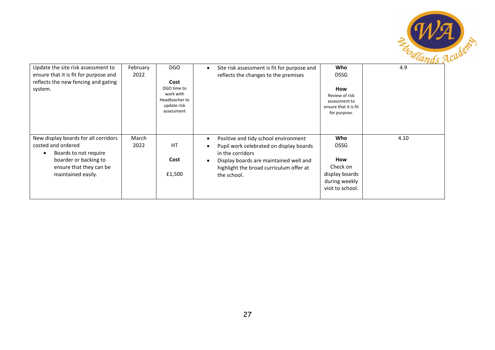

| Update the site risk assessment to<br>ensure that it is fit for purpose and<br>reflects the new fencing and gating<br>system.                                              | February<br>2022 | <b>DGO</b><br>Cost<br>DGO time to<br>work with<br>Headteacher to<br>update risk<br>assessment | Site risk assessment is fit for purpose and<br>reflects the changes to the premises                                                                                                                     | Who<br><b>DSSG</b><br>How<br>Review of risk<br>assessment to<br>ensure that it is fit<br>for purpose. | 4.9  |
|----------------------------------------------------------------------------------------------------------------------------------------------------------------------------|------------------|-----------------------------------------------------------------------------------------------|---------------------------------------------------------------------------------------------------------------------------------------------------------------------------------------------------------|-------------------------------------------------------------------------------------------------------|------|
| New display boards for all corridors<br>costed and ordered<br>Boards to not require<br>$\bullet$<br>boarder or backing to<br>ensure that they can be<br>maintained easily. | March<br>2022    | HT<br>Cost<br>£1,500                                                                          | Positive and tidy school environment<br>Pupil work celebrated on display boards<br>in the corridors<br>Display boards are maintained well and<br>highlight the broad curriculum offer at<br>the school. | Who<br><b>DSSG</b><br>How<br>Check on<br>display boards<br>during weekly<br>visit to school.          | 4.10 |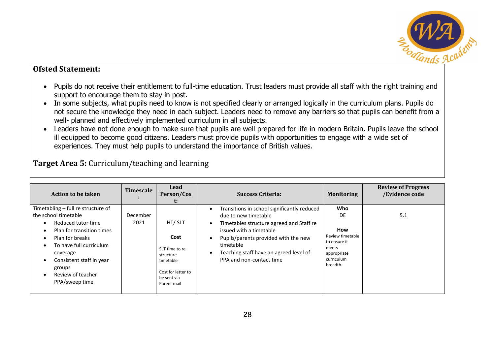

- Pupils do not receive their entitlement to full-time education. Trust leaders must provide all staff with the right training and support to encourage them to stay in post.
- In some subjects, what pupils need to know is not specified clearly or arranged logically in the curriculum plans. Pupils do not secure the knowledge they need in each subject. Leaders need to remove any barriers so that pupils can benefit from a well- planned and effectively implemented curriculum in all subjects.
- Leaders have not done enough to make sure that pupils are well prepared for life in modern Britain. Pupils leave the school ill equipped to become good citizens. Leaders must provide pupils with opportunities to engage with a wide set of experiences. They must help pupils to understand the importance of British values.

| Target Area 5: Curriculum/teaching and learning |  |  |  |
|-------------------------------------------------|--|--|--|
|-------------------------------------------------|--|--|--|

| <b>Action to be taken</b>                                                                                                                                                                                                                                                                                                          | <b>Timescale</b> | Lead<br>Person/Cos<br>t:                                                                                       | <b>Success Criteria:</b>                                                                                                                                                                                                                                                                                                  | <b>Monitoring</b>                                                                                      | <b>Review of Progress</b><br>/Evidence code |
|------------------------------------------------------------------------------------------------------------------------------------------------------------------------------------------------------------------------------------------------------------------------------------------------------------------------------------|------------------|----------------------------------------------------------------------------------------------------------------|---------------------------------------------------------------------------------------------------------------------------------------------------------------------------------------------------------------------------------------------------------------------------------------------------------------------------|--------------------------------------------------------------------------------------------------------|---------------------------------------------|
| Timetabling - full re structure of<br>the school timetable<br>Reduced tutor time<br>$\bullet$<br>Plan for transition times<br>$\bullet$<br>Plan for breaks<br>$\bullet$<br>To have full curriculum<br>$\bullet$<br>coverage<br>Consistent staff in year<br>$\bullet$<br>groups<br>Review of teacher<br>$\bullet$<br>PPA/sweep time | December<br>2021 | HT/SLT<br>Cost<br>SLT time to re<br>structure<br>timetable<br>Cost for letter to<br>be sent via<br>Parent mail | Transitions in school significantly reduced<br>$\bullet$<br>due to new timetable<br>Timetables structure agreed and Staff re<br>$\bullet$<br>issued with a timetable<br>Pupils/parents provided with the new<br>$\bullet$<br>timetable<br>Teaching staff have an agreed level of<br>$\bullet$<br>PPA and non-contact time | Who<br>DE<br>How<br>Review timetable<br>to ensure it<br>meets<br>appropriate<br>curriculum<br>breadth. | 5.1                                         |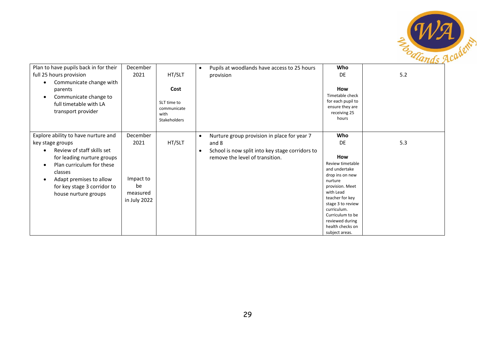

| Plan to have pupils back in for their<br>full 25 hours provision<br>Communicate change with<br>parents<br>Communicate change to<br>٠<br>full timetable with LA<br>transport provider                                                                    | December<br>2021                                                | HT/SLT<br>Cost<br>SLT time to<br>communicate<br>with<br><b>Stakeholders</b> | $\bullet$              | Pupils at woodlands have access to 25 hours<br>provision                                                                                   | Who<br>DE<br>How<br>Timetable check<br>for each pupil to<br>ensure they are<br>receiving 25<br>hours                                                                                                                                                    | 5.2 |
|---------------------------------------------------------------------------------------------------------------------------------------------------------------------------------------------------------------------------------------------------------|-----------------------------------------------------------------|-----------------------------------------------------------------------------|------------------------|--------------------------------------------------------------------------------------------------------------------------------------------|---------------------------------------------------------------------------------------------------------------------------------------------------------------------------------------------------------------------------------------------------------|-----|
| Explore ability to have nurture and<br>key stage groups<br>Review of staff skills set<br>for leading nurture groups<br>Plan curriculum for these<br>٠<br>classes<br>Adapt premises to allow<br>O<br>for key stage 3 corridor to<br>house nurture groups | December<br>2021<br>Impact to<br>be<br>measured<br>in July 2022 | HT/SLT                                                                      | $\bullet$<br>$\bullet$ | Nurture group provision in place for year 7<br>and 8<br>School is now split into key stage corridors to<br>remove the level of transition. | Who<br>DE<br>How<br>Review timetable<br>and undertake<br>drop ins on new<br>nurture<br>provision. Meet<br>with Lead<br>teacher for key<br>stage 3 to review<br>curriculum.<br>Curriculum to be<br>reviewed during<br>health checks on<br>subject areas. | 5.3 |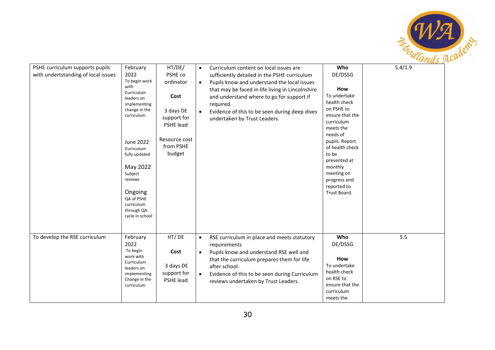

| PSHE curriculum supports pupils<br>with undertstanding of local issues | February<br>2022<br>To begin work<br>with<br>Curriculum<br>leaders on<br>implementing<br>change in the<br>curriculum<br>June 2022<br>Curriculum<br>fully updated<br>May 2022<br>Subject<br>reviews<br>Ongoing<br>QA of PSHE<br>curriculum<br>through QA<br>cycle in school | HT/DE/<br>PSHE co<br>ordinator<br>Cost<br>3 days DE<br>support for<br>PSHE lead<br>Resource cost<br>from PSHE<br>budget | $\bullet$<br>$\bullet$<br>$\bullet$ | Curriculum content on local issues are<br>sufficiently detailed in the PSHE curriculum<br>Pupils know and understand the local issues<br>that may be faced in life living in Lincolnshire<br>and understand where to go for support if<br>required.<br>Evidence of this to be seen during deep dives<br>undertaken by Trust Leaders. | Who<br>DE/DSSG<br>How<br>To undertake<br>health check<br>on PSHE to<br>ensure that the<br>curriculum<br>meets the<br>needs of<br>pupils. Report<br>of health check<br>to be<br>presented at<br>monthly<br>meeting on<br>progress and<br>reported to<br>Trust Board. | 5.4/1.9 |
|------------------------------------------------------------------------|----------------------------------------------------------------------------------------------------------------------------------------------------------------------------------------------------------------------------------------------------------------------------|-------------------------------------------------------------------------------------------------------------------------|-------------------------------------|--------------------------------------------------------------------------------------------------------------------------------------------------------------------------------------------------------------------------------------------------------------------------------------------------------------------------------------|---------------------------------------------------------------------------------------------------------------------------------------------------------------------------------------------------------------------------------------------------------------------|---------|
| To develop the RSE curriculum                                          | February<br>2022<br>To begin<br>work with<br>Curriculum<br>leaders on<br>implementing<br>Change in the<br>curriculum                                                                                                                                                       | HT/DE<br>Cost<br>3 days DE<br>support for<br>PSHE lead                                                                  | $\bullet$<br>$\bullet$<br>$\bullet$ | RSE curriculum in place and meets statutory<br>requirements<br>Pupils know and understand RSE well and<br>that the curriculum prepares them for life<br>after school.<br>Evidence of this to be seen during Curriculum<br>reviews undertaken by Trust Leaders.                                                                       | Who<br>DE/DSSG<br>How<br>To undertake<br>health check<br>on RSE to<br>ensure that the<br>curriculum<br>meets the                                                                                                                                                    | 5.5     |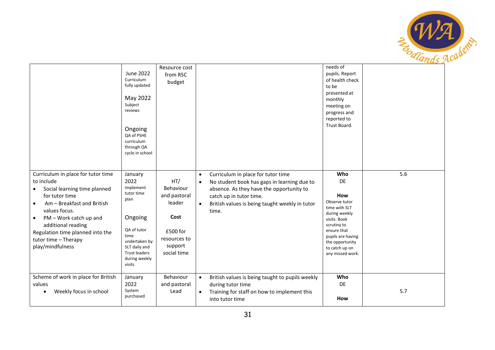

|                                                                                                                                                                                                                                                                                                | June 2022<br>Curriculum<br>fully updated<br>May 2022<br>Subject<br>reviews<br>Ongoing<br>QA of PSHE<br>curriculum<br>through QA<br>cycle in school                        | Resource cost<br>from RSC<br>budget                                                                      |                                     |                                                                                                                                                                                                                     | needs of<br>pupils. Report<br>of health check<br>to be<br>presented at<br>monthly<br>meeting on<br>progress and<br>reported to<br>Trust Board.                                                         |     |
|------------------------------------------------------------------------------------------------------------------------------------------------------------------------------------------------------------------------------------------------------------------------------------------------|---------------------------------------------------------------------------------------------------------------------------------------------------------------------------|----------------------------------------------------------------------------------------------------------|-------------------------------------|---------------------------------------------------------------------------------------------------------------------------------------------------------------------------------------------------------------------|--------------------------------------------------------------------------------------------------------------------------------------------------------------------------------------------------------|-----|
| Curriculum in place for tutor time<br>to include<br>Social learning time planned<br>for tutor time<br>Am - Breakfast and British<br>$\bullet$<br>values focus.<br>PM - Work catch up and<br>additional reading<br>Regulation time planned into the<br>tutor time - Therapy<br>play/mindfulness | January<br>2022<br>Implement<br>tutor time<br>plan<br>Ongoing<br>QA of tutor<br>time<br>undertaken by<br>SLT daily and<br><b>Trust leaders</b><br>during weekly<br>visits | HT/<br>Behaviour<br>and pastoral<br>leader<br>Cost<br>£500 for<br>resources to<br>support<br>social time | $\bullet$<br>$\bullet$<br>$\bullet$ | Curriculum in place for tutor time<br>No student book has gaps in learning due to<br>absence. As they have the opportunity to<br>catch up in tutor time.<br>British values is being taught weekly in tutor<br>time. | Who<br>DE<br><b>How</b><br>Observe tutor<br>time with SLT<br>during weekly<br>visits. Book<br>scrutiny to<br>ensure that<br>pupils are having<br>the opportunity<br>to catch up on<br>any missed work. | 5.6 |
| Scheme of work in place for British<br>values<br>Weekly focus in school<br>$\bullet$                                                                                                                                                                                                           | January<br>2022<br>System<br>purchased                                                                                                                                    | Behaviour<br>and pastoral<br>Lead                                                                        | $\bullet$<br>$\bullet$              | British values is being taught to pupils weekly<br>during tutor time<br>Training for staff on how to implement this<br>into tutor time                                                                              | Who<br>DE<br>How                                                                                                                                                                                       | 5.7 |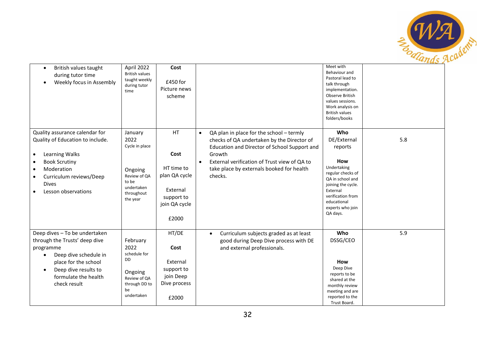

| British values taught<br>$\bullet$<br>during tutor time<br>Weekly focus in Assembly                                                                                                                                                              | April 2022<br><b>British values</b><br>taught weekly<br>during tutor<br>time                                  | Cost<br>£450 for<br>Picture news<br>scheme                                                    |                        |                                                                                                                                                                                                                                                          | Meet with<br>Behaviour and<br>Pastoral lead to<br>talk through<br>implementation.<br>Observe British<br>values sessions.<br>Work analysis on<br><b>British values</b><br>folders/books             |     |
|--------------------------------------------------------------------------------------------------------------------------------------------------------------------------------------------------------------------------------------------------|---------------------------------------------------------------------------------------------------------------|-----------------------------------------------------------------------------------------------|------------------------|----------------------------------------------------------------------------------------------------------------------------------------------------------------------------------------------------------------------------------------------------------|----------------------------------------------------------------------------------------------------------------------------------------------------------------------------------------------------|-----|
| Quality assurance calendar for<br>Quality of Education to include.<br>Learning Walks<br>$\bullet$<br><b>Book Scrutiny</b><br>Moderation<br>$\bullet$<br>Curriculum reviews/Deep<br>$\bullet$<br><b>Dives</b><br>Lesson observations<br>$\bullet$ | January<br>2022<br>Cycle in place<br>Ongoing<br>Review of QA<br>to be<br>undertaken<br>throughout<br>the year | HT<br>Cost<br>HT time to<br>plan QA cycle<br>External<br>support to<br>join QA cycle<br>£2000 | $\bullet$<br>$\bullet$ | QA plan in place for the school - termly<br>checks of QA undertaken by the Director of<br>Education and Director of School Support and<br>Growth<br>External verification of Trust view of QA to<br>take place by externals booked for health<br>checks. | Who<br>DE/External<br>reports<br>How<br>Undertaking<br>regular checks of<br>QA in school and<br>joining the cycle.<br>External<br>verification from<br>educational<br>experts who join<br>QA days. | 5.8 |
| Deep dives - To be undertaken<br>through the Trusts' deep dive<br>programme<br>Deep dive schedule in<br>$\bullet$<br>place for the school<br>Deep dive results to<br>$\bullet$<br>formulate the health<br>check result                           | February<br>2022<br>schedule for<br>DD<br>Ongoing<br>Review of QA<br>through DD to<br>be<br>undertaken        | HT/DE<br>Cost<br>External<br>support to<br>join Deep<br>Dive process<br>£2000                 |                        | Curriculum subjects graded as at least<br>$\bullet$<br>good during Deep Dive process with DE<br>and external professionals.                                                                                                                              | Who<br>DSSG/CEO<br>How<br>Deep Dive<br>reports to be<br>shared at the<br>monthly review<br>meeting and are<br>reported to the<br>Trust Board.                                                      | 5.9 |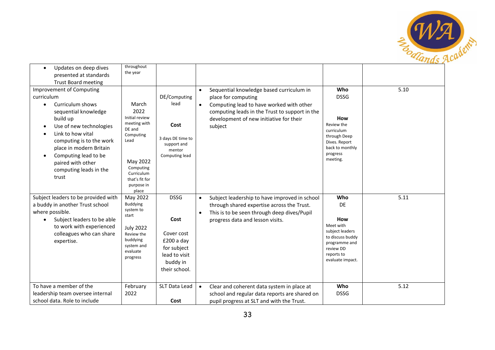

| Updates on deep dives<br>$\bullet$<br>presented at standards<br><b>Trust Board meeting</b>                                                                                                                                                                                                                                                | throughout<br>the year                                                                                                                                         |                                                                                                              |                        |                                                                                                                                                                                                                     |                                                                                                                                      |      |
|-------------------------------------------------------------------------------------------------------------------------------------------------------------------------------------------------------------------------------------------------------------------------------------------------------------------------------------------|----------------------------------------------------------------------------------------------------------------------------------------------------------------|--------------------------------------------------------------------------------------------------------------|------------------------|---------------------------------------------------------------------------------------------------------------------------------------------------------------------------------------------------------------------|--------------------------------------------------------------------------------------------------------------------------------------|------|
| Improvement of Computing<br>curriculum<br>Curriculum shows<br>$\bullet$<br>sequential knowledge<br>build up<br>Use of new technologies<br>$\bullet$<br>Link to how vital<br>$\bullet$<br>computing is to the work<br>place in modern Britain<br>Computing lead to be<br>$\bullet$<br>paired with other<br>computing leads in the<br>trust | March<br>2022<br>Initial review<br>meeting with<br>DE and<br>Computing<br>Lead<br>May 2022<br>Computing<br>Curriculum<br>that's fit for<br>purpose in<br>place | DE/Computing<br>lead<br>Cost<br>3 days DE time to<br>support and<br>mentor<br>Computing lead                 | $\bullet$              | Sequential knowledge based curriculum in<br>place for computing<br>Computing lead to have worked with other<br>computing leads in the Trust to support in the<br>development of new initiative for their<br>subject | Who<br><b>DSSG</b><br>How<br>Review the<br>curriculum<br>through Deep<br>Dives. Report<br>back to monthly<br>progress<br>meeting.    | 5.10 |
| Subject leaders to be provided with<br>a buddy in another Trust school<br>where possible.<br>Subject leaders to be able<br>$\bullet$<br>to work with experienced<br>colleagues who can share<br>expertise.                                                                                                                                | May 2022<br><b>Buddying</b><br>system to<br>start<br><b>July 2022</b><br>Review the<br>buddying<br>system and<br>evaluate<br>progress                          | <b>DSSG</b><br>Cost<br>Cover cost<br>£200 a day<br>for subject<br>lead to visit<br>buddy in<br>their school. | $\bullet$<br>$\bullet$ | Subject leadership to have improved in school<br>through shared expertise across the Trust.<br>This is to be seen through deep dives/Pupil<br>progress data and lesson visits.                                      | Who<br>DE<br>How<br>Meet with<br>subject leaders<br>to discuss buddy<br>programme and<br>review DD<br>reports to<br>evaluate impact. | 5.11 |
| To have a member of the<br>leadership team oversee internal<br>school data. Role to include                                                                                                                                                                                                                                               | February<br>2022                                                                                                                                               | SLT Data Lead<br>Cost                                                                                        |                        | Clear and coherent data system in place at<br>school and regular data reports are shared on<br>pupil progress at SLT and with the Trust.                                                                            | Who<br><b>DSSG</b>                                                                                                                   | 5.12 |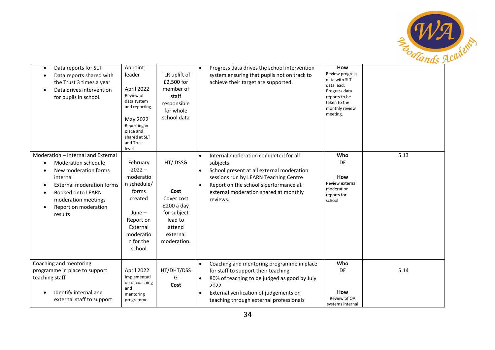

| Data reports for SLT<br>$\bullet$<br>Data reports shared with<br>$\bullet$<br>the Trust 3 times a year<br>Data drives intervention<br>$\bullet$<br>for pupils in school.                                                                                                    | Appoint<br>leader<br>April 2022<br>Review of<br>data system<br>and reporting<br>May 2022<br>Reporting in<br>place and<br>shared at SLT<br>and Trust<br>level | TLR uplift of<br>£2,500 for<br>member of<br>staff<br>responsible<br>for whole<br>school data               | $\bullet$                           | Progress data drives the school intervention<br>system ensuring that pupils not on track to<br>achieve their target are supported.                                                                                                    | How<br>Review progress<br>data with SLT<br>data lead.<br>Progress data<br>reports to be<br>taken to the<br>monthly review<br>meeting. |      |
|-----------------------------------------------------------------------------------------------------------------------------------------------------------------------------------------------------------------------------------------------------------------------------|--------------------------------------------------------------------------------------------------------------------------------------------------------------|------------------------------------------------------------------------------------------------------------|-------------------------------------|---------------------------------------------------------------------------------------------------------------------------------------------------------------------------------------------------------------------------------------|---------------------------------------------------------------------------------------------------------------------------------------|------|
| Moderation - Internal and External<br>Moderation schedule<br>$\bullet$<br>New moderation forms<br>internal<br><b>External moderation forms</b><br>$\bullet$<br><b>Booked onto LEARN</b><br>$\bullet$<br>moderation meetings<br>Report on moderation<br>$\bullet$<br>results | February<br>$2022 -$<br>moderatio<br>n schedule/<br>forms<br>created<br>June $-$<br>Report on<br>External<br>moderatio<br>n for the<br>school                | HT/DSSG<br>Cost<br>Cover cost<br>£200 a day<br>for subject<br>lead to<br>attend<br>external<br>moderation. | $\bullet$<br>$\bullet$<br>$\bullet$ | Internal moderation completed for all<br>subjects<br>School present at all external moderation<br>sessions run by LEARN Teaching Centre<br>Report on the school's performance at<br>external moderation shared at monthly<br>reviews. | Who<br><b>DE</b><br>How<br>Review external<br>moderation<br>reports for<br>school                                                     | 5.13 |
| Coaching and mentoring<br>programme in place to support<br>teaching staff<br>Identify internal and<br>$\bullet$<br>external staff to support                                                                                                                                | April 2022<br>Implementati<br>on of coaching<br>and<br>mentoring<br>programme                                                                                | HT/DHT/DSS<br>G<br>Cost                                                                                    | $\bullet$<br>$\bullet$<br>$\bullet$ | Coaching and mentoring programme in place<br>for staff to support their teaching<br>80% of teaching to be judged as good by July<br>2022<br>External verification of judgements on<br>teaching through external professionals         | Who<br>DE<br>How<br>Review of QA<br>systems internal                                                                                  | 5.14 |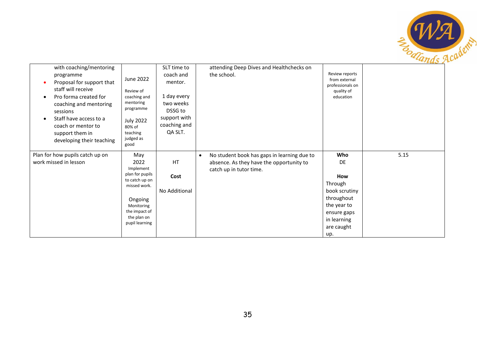

|                                                                                                                                                                                                             |                                                                                                                    |                                                                                |                                             |                                   | $\sim$ and $\sim$ |
|-------------------------------------------------------------------------------------------------------------------------------------------------------------------------------------------------------------|--------------------------------------------------------------------------------------------------------------------|--------------------------------------------------------------------------------|---------------------------------------------|-----------------------------------|-------------------|
| with coaching/mentoring                                                                                                                                                                                     |                                                                                                                    | SLT time to                                                                    | attending Deep Dives and Healthchecks on    |                                   |                   |
| programme                                                                                                                                                                                                   |                                                                                                                    | coach and                                                                      | the school.                                 | Review reports                    |                   |
| Proposal for support that<br>$\bullet$                                                                                                                                                                      | June 2022                                                                                                          | mentor.                                                                        |                                             | from external<br>professionals on |                   |
| staff will receive<br>Pro forma created for<br>$\bullet$<br>coaching and mentoring<br>sessions<br>Staff have access to a<br>$\bullet$<br>coach or mentor to<br>support them in<br>developing their teaching | Review of<br>coaching and<br>mentoring<br>programme<br><b>July 2022</b><br>80% of<br>teaching<br>judged as<br>good | 1 day every<br>two weeks<br>DSSG to<br>support with<br>coaching and<br>QA SLT. |                                             | quality of<br>education           |                   |
|                                                                                                                                                                                                             |                                                                                                                    |                                                                                |                                             |                                   |                   |
|                                                                                                                                                                                                             |                                                                                                                    |                                                                                | $\bullet$                                   | Who                               | 5.15              |
| Plan for how pupils catch up on<br>work missed in lesson                                                                                                                                                    | May<br>2022                                                                                                        | <b>HT</b>                                                                      | No student book has gaps in learning due to | <b>DE</b>                         |                   |
|                                                                                                                                                                                                             | Implement                                                                                                          |                                                                                | absence. As they have the opportunity to    |                                   |                   |
|                                                                                                                                                                                                             | plan for pupils                                                                                                    | Cost                                                                           | catch up in tutor time.                     | How                               |                   |
|                                                                                                                                                                                                             | to catch up on                                                                                                     |                                                                                |                                             | Through                           |                   |
|                                                                                                                                                                                                             | missed work.                                                                                                       | No Additional                                                                  |                                             | book scrutiny                     |                   |
|                                                                                                                                                                                                             |                                                                                                                    |                                                                                |                                             | throughout                        |                   |
|                                                                                                                                                                                                             | Ongoing<br>Monitoring                                                                                              |                                                                                |                                             | the year to                       |                   |
|                                                                                                                                                                                                             | the impact of                                                                                                      |                                                                                |                                             | ensure gaps                       |                   |
|                                                                                                                                                                                                             | the plan on                                                                                                        |                                                                                |                                             | in learning                       |                   |
|                                                                                                                                                                                                             | pupil learning                                                                                                     |                                                                                |                                             | are caught                        |                   |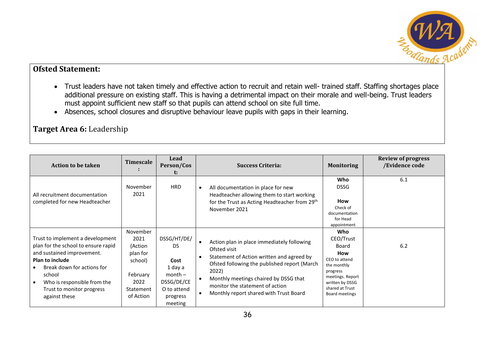

- Trust leaders have not taken timely and effective action to recruit and retain well- trained staff. Staffing shortages place additional pressure on existing staff. This is having a detrimental impact on their morale and well-being. Trust leaders must appoint sufficient new staff so that pupils can attend school on site full time.
- Absences, school closures and disruptive behaviour leave pupils with gaps in their learning.

# **Target Area 6:** Leadership

| <b>Action to be taken</b>                                                                                                                                                                                                                            | Timescale                                                                                        | Lead<br>Person/Cos<br>t:                                                                               | <b>Success Criteria:</b>                                                                                                                                                                                                                                                                            | <b>Monitoring</b>                                                                                                                                        | <b>Review of progress</b><br>/Evidence code |
|------------------------------------------------------------------------------------------------------------------------------------------------------------------------------------------------------------------------------------------------------|--------------------------------------------------------------------------------------------------|--------------------------------------------------------------------------------------------------------|-----------------------------------------------------------------------------------------------------------------------------------------------------------------------------------------------------------------------------------------------------------------------------------------------------|----------------------------------------------------------------------------------------------------------------------------------------------------------|---------------------------------------------|
| All recruitment documentation<br>completed for new Headteacher                                                                                                                                                                                       | November<br>2021                                                                                 | <b>HRD</b>                                                                                             | All documentation in place for new<br>$\bullet$<br>Headteacher allowing them to start working<br>for the Trust as Acting Headteacher from 29th<br>November 2021                                                                                                                                     | Who<br><b>DSSG</b><br>How<br>Check of<br>documentation<br>for Head<br>appointment                                                                        | 6.1                                         |
| Trust to implement a development<br>plan for the school to ensure rapid<br>and sustained improvement.<br><b>Plan to include</b><br>Break down for actions for<br>school<br>Who is responsible from the<br>Trust to monitor progress<br>against these | November<br>2021<br>(Action<br>plan for<br>school)<br>February<br>2022<br>Statement<br>of Action | DSSG/HT/DE/<br>DS.<br>Cost<br>1 day a<br>$month -$<br>DSSG/DE/CE<br>O to attend<br>progress<br>meeting | Action plan in place immediately following<br>Ofsted visit<br>Statement of Action written and agreed by<br>$\bullet$<br>Ofsted following the published report (March<br>2022)<br>Monthly meetings chaired by DSSG that<br>monitor the statement of action<br>Monthly report shared with Trust Board | Who<br>CEO/Trust<br>Board<br>How<br>CEO to attend<br>the monthly<br>progress<br>meetings. Report<br>written by DSSG<br>shared at Trust<br>Board meetings | 6.2                                         |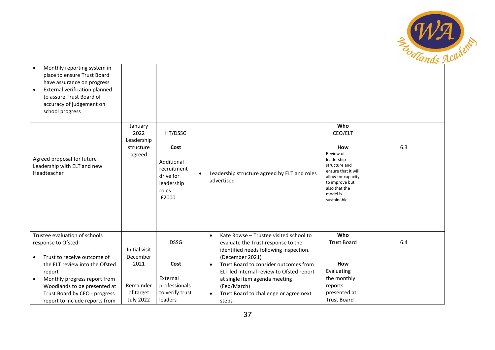

| Monthly reporting system in<br>place to ensure Trust Board<br>have assurance on progress<br>External verification planned<br>to assure Trust Board of<br>accuracy of judgement on<br>school progress |                                                      |                                                                                           |                                                                                                                                                                                                                                                                           |
|------------------------------------------------------------------------------------------------------------------------------------------------------------------------------------------------------|------------------------------------------------------|-------------------------------------------------------------------------------------------|---------------------------------------------------------------------------------------------------------------------------------------------------------------------------------------------------------------------------------------------------------------------------|
| Agreed proposal for future<br>Leadership with ELT and new<br>Headteacher                                                                                                                             | January<br>2022<br>Leadership<br>structure<br>agreed | HT/DSSG<br>Cost<br>Additional<br>recruitment<br>drive for<br>leadership<br>roles<br>£2000 | Who<br>CEO/ELT<br>6.3<br>How<br>Review of<br>leadership<br>structure and<br>ensure that it will<br>Leadership structure agreed by ELT and roles<br>$\bullet$<br>allow for capacity<br>advertised<br>to improve but<br>also that the<br>model is<br>sustainable.           |
| Trustee evaluation of schools<br>response to Ofsted<br>Trust to receive outcome of                                                                                                                   | Initial visit<br>December                            | <b>DSSG</b>                                                                               | Who<br>Kate Rowse - Trustee visited school to<br><b>Trust Board</b><br>6.4<br>evaluate the Trust response to the<br>identified needs following inspection.<br>(December 2021)                                                                                             |
| the ELT review into the Ofsted<br>report<br>Monthly progress report from<br>$\bullet$<br>Woodlands to be presented at<br>Trust Board by CEO - progress<br>report to include reports from             | 2021<br>Remainder<br>of target<br><b>July 2022</b>   | Cost<br>External<br>professionals<br>to verify trust<br>leaders                           | How<br>Trust Board to consider outcomes from<br>Evaluating<br>ELT led internal review to Ofsted report<br>the monthly<br>at single item agenda meeting<br>reports<br>(Feb/March)<br>presented at<br>Trust Board to challenge or agree next<br><b>Trust Board</b><br>steps |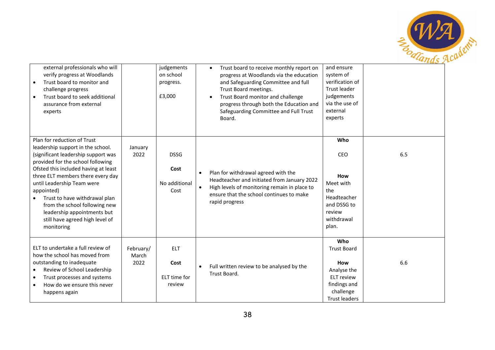

| external professionals who will<br>verify progress at Woodlands<br>Trust board to monitor and<br>challenge progress<br>Trust board to seek additional<br>assurance from external<br>experts                                                                                                                                                                                                                             |                            | judgements<br>on school<br>progress.<br>£3,000 | Trust board to receive monthly report on<br>$\bullet$<br>progress at Woodlands via the education<br>and Safeguarding Committee and full<br>Trust Board meetings.<br>Trust Board monitor and challenge<br>$\bullet$<br>progress through both the Education and<br>Safeguarding Committee and Full Trust<br>Board. | and ensure<br>system of<br>verification of<br><b>Trust leader</b><br>judgements<br>via the use of<br>external<br>experts  |     |
|-------------------------------------------------------------------------------------------------------------------------------------------------------------------------------------------------------------------------------------------------------------------------------------------------------------------------------------------------------------------------------------------------------------------------|----------------------------|------------------------------------------------|------------------------------------------------------------------------------------------------------------------------------------------------------------------------------------------------------------------------------------------------------------------------------------------------------------------|---------------------------------------------------------------------------------------------------------------------------|-----|
| Plan for reduction of Trust<br>leadership support in the school.<br>(significant leadership support was<br>provided for the school following<br>Ofsted this included having at least<br>three ELT members there every day<br>until Leadership Team were<br>appointed)<br>Trust to have withdrawal plan<br>from the school following new<br>leadership appointments but<br>still have agreed high level of<br>monitoring | January<br>2022            | <b>DSSG</b><br>Cost<br>No additional<br>Cost   | Plan for withdrawal agreed with the<br>Headteacher and initiated from January 2022<br>High levels of monitoring remain in place to<br>ensure that the school continues to make<br>rapid progress                                                                                                                 | Who<br><b>CEO</b><br>How<br>Meet with<br>the<br>Headteacher<br>and DSSG to<br>review<br>withdrawal<br>plan.               | 6.5 |
| ELT to undertake a full review of<br>how the school has moved from<br>outstanding to inadequate<br>Review of School Leadership<br>$\bullet$<br>Trust processes and systems<br>$\bullet$<br>How do we ensure this never<br>happens again                                                                                                                                                                                 | February/<br>March<br>2022 | <b>ELT</b><br>Cost<br>ELT time for<br>review   | Full written review to be analysed by the<br>Trust Board.                                                                                                                                                                                                                                                        | Who<br><b>Trust Board</b><br>How<br>Analyse the<br><b>ELT</b> review<br>findings and<br>challenge<br><b>Trust leaders</b> | 6.6 |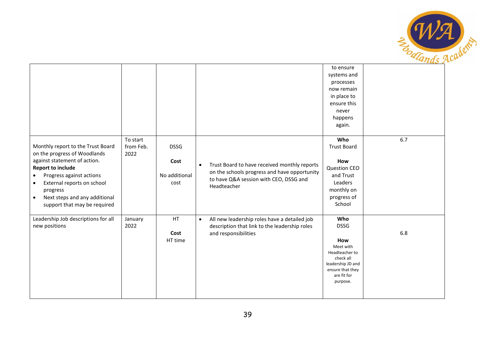

|                                                                                                                                                                                                                                                                                                             |                               |                                              |           |                                                                                                                                                       | to ensure<br>systems and<br>processes<br>now remain<br>in place to<br>ensure this<br>never<br>happens<br>again.                           |     |
|-------------------------------------------------------------------------------------------------------------------------------------------------------------------------------------------------------------------------------------------------------------------------------------------------------------|-------------------------------|----------------------------------------------|-----------|-------------------------------------------------------------------------------------------------------------------------------------------------------|-------------------------------------------------------------------------------------------------------------------------------------------|-----|
| Monthly report to the Trust Board<br>on the progress of Woodlands<br>against statement of action.<br><b>Report to include</b><br>Progress against actions<br>$\bullet$<br>External reports on school<br>$\bullet$<br>progress<br>Next steps and any additional<br>$\bullet$<br>support that may be required | To start<br>from Feb.<br>2022 | <b>DSSG</b><br>Cost<br>No additional<br>cost | $\bullet$ | Trust Board to have received monthly reports<br>on the schools progress and have opportunity<br>to have Q&A session with CEO, DSSG and<br>Headteacher | Who<br><b>Trust Board</b><br>How<br><b>Question CEO</b><br>and Trust<br>Leaders<br>monthly on<br>progress of<br>School                    | 6.7 |
| Leadership Job descriptions for all<br>new positions                                                                                                                                                                                                                                                        | January<br>2022               | HT<br>Cost<br>HT time                        | $\bullet$ | All new leadership roles have a detailed job<br>description that link to the leadership roles<br>and responsibilities                                 | Who<br><b>DSSG</b><br>How<br>Meet with<br>Headteacher to<br>check all<br>leadership JD and<br>ensure that they<br>are fit for<br>purpose. | 6.8 |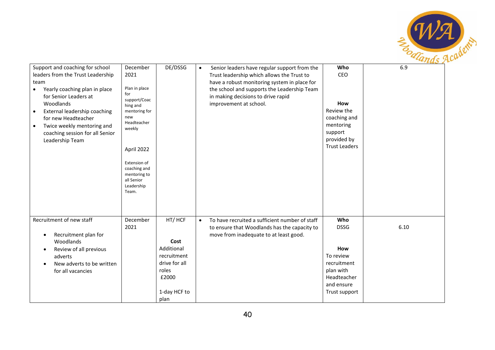

| Support and coaching for school<br>leaders from the Trust Leadership<br>team<br>Yearly coaching plan in place<br>$\bullet$<br>for Senior Leaders at<br>Woodlands<br>External leadership coaching<br>$\bullet$<br>for new Headteacher<br>Twice weekly mentoring and<br>coaching session for all Senior<br>Leadership Team | December<br>2021<br>Plan in place<br>for<br>support/Coac<br>hing and<br>mentoring for<br>new<br>Headteacher<br>weekly<br>April 2022 | DE/DSSG                                                                                                | $\bullet$ | Senior leaders have regular support from the<br>Trust leadership which allows the Trust to<br>have a robust monitoring system in place for<br>the school and supports the Leadership Team<br>in making decisions to drive rapid<br>improvement at school. | Who<br>CEO<br>How<br>Review the<br>coaching and<br>mentoring<br>support<br>provided by<br><b>Trust Leaders</b>          | $-1\mu\mu$<br>6.9 |
|--------------------------------------------------------------------------------------------------------------------------------------------------------------------------------------------------------------------------------------------------------------------------------------------------------------------------|-------------------------------------------------------------------------------------------------------------------------------------|--------------------------------------------------------------------------------------------------------|-----------|-----------------------------------------------------------------------------------------------------------------------------------------------------------------------------------------------------------------------------------------------------------|-------------------------------------------------------------------------------------------------------------------------|-------------------|
|                                                                                                                                                                                                                                                                                                                          | Extension of<br>coaching and<br>mentoring to<br>all Senior<br>Leadership<br>Team.                                                   |                                                                                                        |           |                                                                                                                                                                                                                                                           |                                                                                                                         |                   |
| Recruitment of new staff<br>Recruitment plan for<br>Woodlands<br>Review of all previous<br>adverts<br>New adverts to be written<br>for all vacancies                                                                                                                                                                     | December<br>2021                                                                                                                    | HT/HCF<br>Cost<br>Additional<br>recruitment<br>drive for all<br>roles<br>£2000<br>1-day HCF to<br>plan | $\bullet$ | To have recruited a sufficient number of staff<br>to ensure that Woodlands has the capacity to<br>move from inadequate to at least good.                                                                                                                  | Who<br><b>DSSG</b><br><b>How</b><br>To review<br>recruitment<br>plan with<br>Headteacher<br>and ensure<br>Trust support | 6.10              |